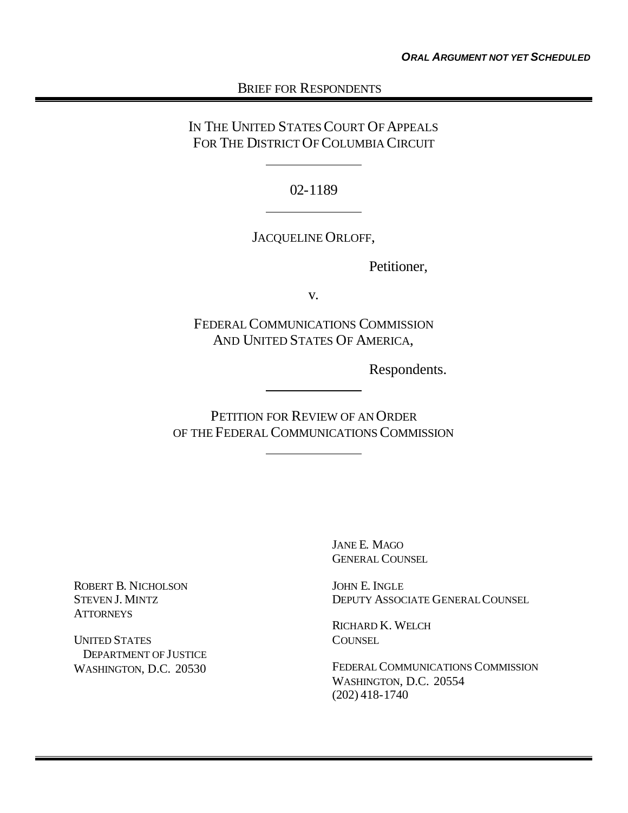# BRIEF FOR RESPONDENTS

IN THE UNITED STATES COURT OF APPEALS FOR THE DISTRICT OF COLUMBIA CIRCUIT

02-1189

JACQUELINE ORLOFF,

Petitioner,

v.

FEDERAL COMMUNICATIONS COMMISSION AND UNITED STATES OF AMERICA,

Respondents.

PETITION FOR REVIEW OF AN ORDER OF THE FEDERAL COMMUNICATIONS COMMISSION

> JANE E. MAGO GENERAL COUNSEL

JOHN E. INGLE DEPUTY ASSOCIATE GENERALCOUNSEL

RICHARD K. WELCH COUNSEL.

FEDERAL COMMUNICATIONS COMMISSION WASHINGTON, D.C. 20554 (202) 418-1740

ROBERT B. NICHOLSON STEVEN J. MINTZ **ATTORNEYS** 

UNITED STATES DEPARTMENT OF JUSTICE WASHINGTON, D.C. 20530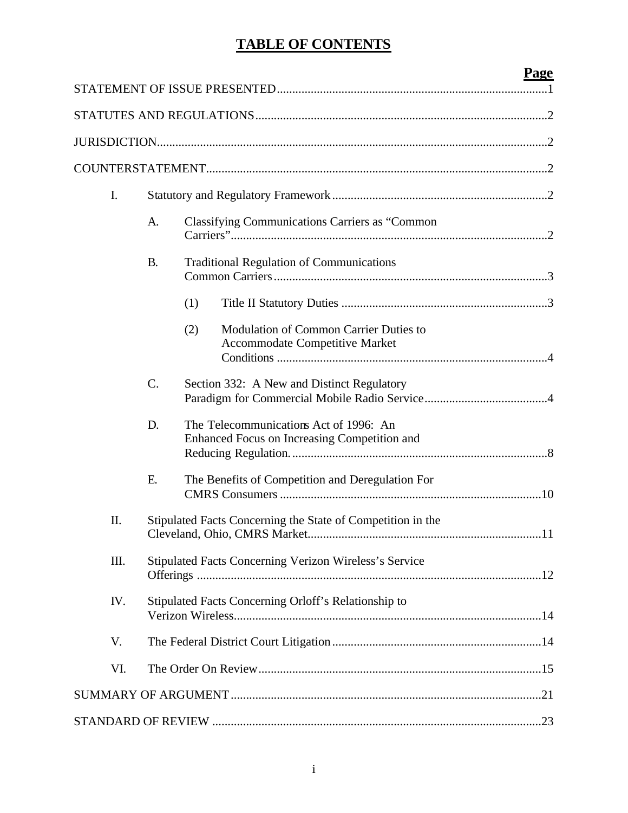# **TABLE OF CONTENTS**

|     |                                                               |                                                                                        | Page |
|-----|---------------------------------------------------------------|----------------------------------------------------------------------------------------|------|
|     |                                                               |                                                                                        |      |
|     |                                                               |                                                                                        |      |
|     |                                                               |                                                                                        |      |
|     |                                                               |                                                                                        |      |
| I.  |                                                               |                                                                                        |      |
|     | A.                                                            | <b>Classifying Communications Carriers as "Common</b>                                  |      |
|     | <b>B.</b>                                                     | <b>Traditional Regulation of Communications</b>                                        |      |
|     |                                                               | (1)                                                                                    |      |
|     |                                                               | Modulation of Common Carrier Duties to<br>(2)<br>Accommodate Competitive Market        |      |
|     | C.                                                            | Section 332: A New and Distinct Regulatory                                             |      |
|     | D.                                                            | The Telecommunications Act of 1996: An<br>Enhanced Focus on Increasing Competition and |      |
|     | Ε.                                                            | The Benefits of Competition and Deregulation For                                       |      |
| Π.  |                                                               | Stipulated Facts Concerning the State of Competition in the                            |      |
| Ш.  | <b>Stipulated Facts Concerning Verizon Wireless's Service</b> |                                                                                        |      |
| IV. | Stipulated Facts Concerning Orloff's Relationship to          |                                                                                        |      |
| V.  |                                                               |                                                                                        |      |
| VI. |                                                               |                                                                                        |      |
|     |                                                               |                                                                                        |      |
|     |                                                               |                                                                                        |      |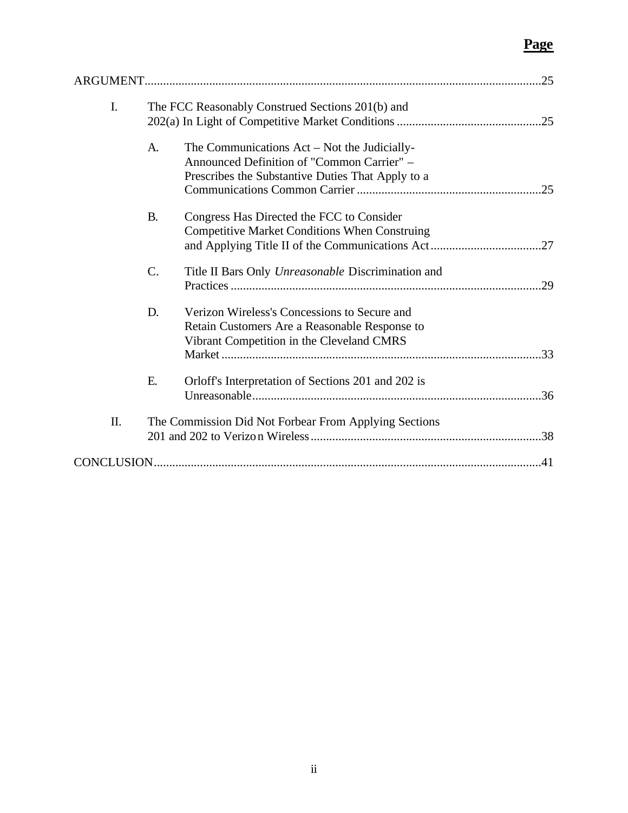| I. |                 | The FCC Reasonably Construed Sections 201(b) and                                                                                                |
|----|-----------------|-------------------------------------------------------------------------------------------------------------------------------------------------|
|    | A.              | The Communications Act – Not the Judicially-<br>Announced Definition of "Common Carrier" -<br>Prescribes the Substantive Duties That Apply to a |
|    | <b>B.</b>       | Congress Has Directed the FCC to Consider<br><b>Competitive Market Conditions When Construing</b>                                               |
|    | $\mathcal{C}$ . | Title II Bars Only Unreasonable Discrimination and<br>.29                                                                                       |
|    | D.              | Verizon Wireless's Concessions to Secure and<br>Retain Customers Are a Reasonable Response to<br>Vibrant Competition in the Cleveland CMRS      |
|    |                 |                                                                                                                                                 |
|    | Ε.              | Orloff's Interpretation of Sections 201 and 202 is                                                                                              |
| Π. |                 | The Commission Did Not Forbear From Applying Sections                                                                                           |
|    |                 |                                                                                                                                                 |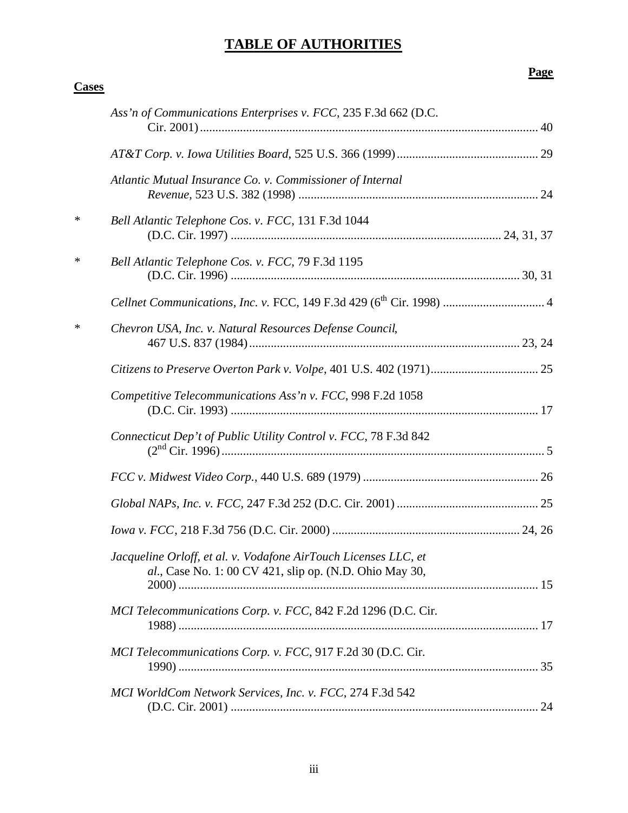# **TABLE OF AUTHORITIES**

**Cases**

|        | Ass'n of Communications Enterprises v. FCC, 235 F.3d 662 (D.C.                                                             |  |
|--------|----------------------------------------------------------------------------------------------------------------------------|--|
|        |                                                                                                                            |  |
|        | Atlantic Mutual Insurance Co. v. Commissioner of Internal                                                                  |  |
| ∗      | Bell Atlantic Telephone Cos. v. FCC, 131 F.3d 1044                                                                         |  |
| $\ast$ | Bell Atlantic Telephone Cos. v. FCC, 79 F.3d 1195                                                                          |  |
|        |                                                                                                                            |  |
| $\ast$ | Chevron USA, Inc. v. Natural Resources Defense Council,                                                                    |  |
|        |                                                                                                                            |  |
|        | Competitive Telecommunications Ass'n v. FCC, 998 F.2d 1058                                                                 |  |
|        | Connecticut Dep't of Public Utility Control v. FCC, 78 F.3d 842                                                            |  |
|        |                                                                                                                            |  |
|        |                                                                                                                            |  |
|        |                                                                                                                            |  |
|        | Jacqueline Orloff, et al. v. Vodafone AirTouch Licenses LLC, et<br>al., Case No. 1: 00 CV 421, slip op. (N.D. Ohio May 30, |  |
|        | MCI Telecommunications Corp. v. FCC, 842 F.2d 1296 (D.C. Cir.                                                              |  |
|        | MCI Telecommunications Corp. v. FCC, 917 F.2d 30 (D.C. Cir.                                                                |  |
|        | MCI WorldCom Network Services, Inc. v. FCC, 274 F.3d 542                                                                   |  |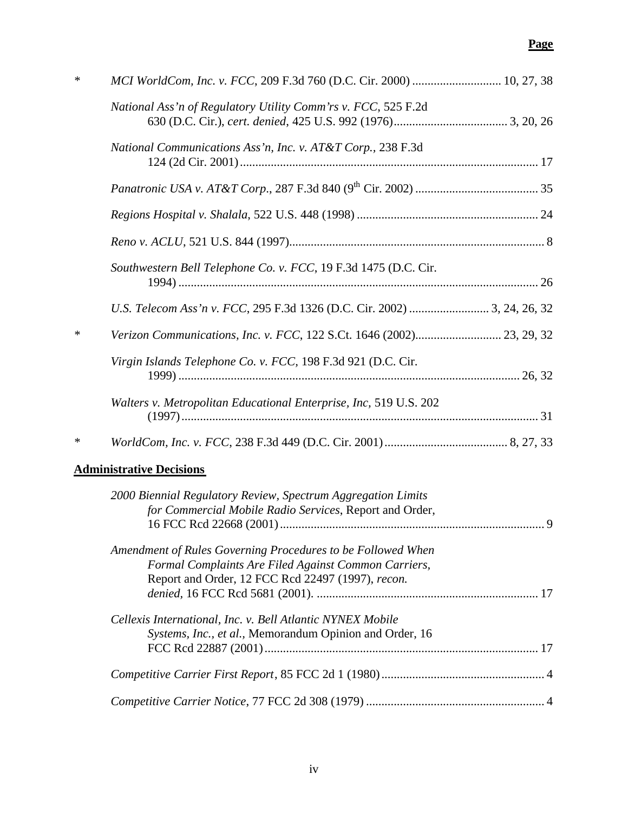| ∗      | MCI WorldCom, Inc. v. FCC, 209 F.3d 760 (D.C. Cir. 2000)  10, 27, 38                                                                                                     |  |
|--------|--------------------------------------------------------------------------------------------------------------------------------------------------------------------------|--|
|        | National Ass'n of Regulatory Utility Comm'rs v. FCC, 525 F.2d                                                                                                            |  |
|        | National Communications Ass'n, Inc. v. AT&T Corp., 238 F.3d                                                                                                              |  |
|        |                                                                                                                                                                          |  |
|        |                                                                                                                                                                          |  |
|        |                                                                                                                                                                          |  |
|        | Southwestern Bell Telephone Co. v. FCC, 19 F.3d 1475 (D.C. Cir.                                                                                                          |  |
|        |                                                                                                                                                                          |  |
| $\ast$ |                                                                                                                                                                          |  |
|        | Virgin Islands Telephone Co. v. FCC, 198 F.3d 921 (D.C. Cir.                                                                                                             |  |
|        | Walters v. Metropolitan Educational Enterprise, Inc. 519 U.S. 202                                                                                                        |  |
| $\ast$ |                                                                                                                                                                          |  |
|        | <b>Administrative Decisions</b>                                                                                                                                          |  |
|        | 2000 Biennial Regulatory Review, Spectrum Aggregation Limits<br>for Commercial Mobile Radio Services, Report and Order,                                                  |  |
|        | Amendment of Rules Governing Procedures to be Followed When<br>Formal Complaints Are Filed Against Common Carriers,<br>Report and Order, 12 FCC Rcd 22497 (1997), recon. |  |
|        | Cellexis International, Inc. v. Bell Atlantic NYNEX Mobile<br>Systems, Inc., et al., Memorandum Opinion and Order, 16                                                    |  |
|        |                                                                                                                                                                          |  |
|        |                                                                                                                                                                          |  |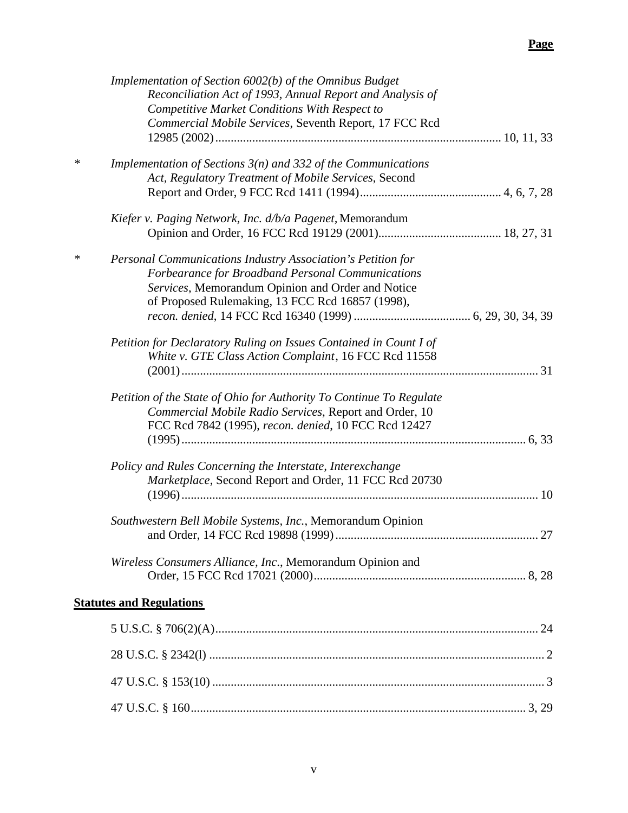|        | Implementation of Section 6002(b) of the Omnibus Budget<br>Reconciliation Act of 1993, Annual Report and Analysis of<br>Competitive Market Conditions With Respect to                                                     |     |
|--------|---------------------------------------------------------------------------------------------------------------------------------------------------------------------------------------------------------------------------|-----|
|        | Commercial Mobile Services, Seventh Report, 17 FCC Rcd                                                                                                                                                                    |     |
| ∗      | Implementation of Sections $3(n)$ and 332 of the Communications<br>Act, Regulatory Treatment of Mobile Services, Second                                                                                                   |     |
|        | Kiefer v. Paging Network, Inc. d/b/a Pagenet, Memorandum                                                                                                                                                                  |     |
| $\ast$ | Personal Communications Industry Association's Petition for<br>Forbearance for Broadband Personal Communications<br>Services, Memorandum Opinion and Order and Notice<br>of Proposed Rulemaking, 13 FCC Rcd 16857 (1998), |     |
|        | Petition for Declaratory Ruling on Issues Contained in Count I of<br>White v. GTE Class Action Complaint, 16 FCC Rcd 11558                                                                                                |     |
|        | Petition of the State of Ohio for Authority To Continue To Regulate<br>Commercial Mobile Radio Services, Report and Order, 10<br>FCC Rcd 7842 (1995), recon. denied, 10 FCC Rcd 12427                                     |     |
|        | Policy and Rules Concerning the Interstate, Interexchange<br>Marketplace, Second Report and Order, 11 FCC Rcd 20730                                                                                                       |     |
|        | Southwestern Bell Mobile Systems, Inc., Memorandum Opinion                                                                                                                                                                | .27 |
|        | Wireless Consumers Alliance, Inc., Memorandum Opinion and                                                                                                                                                                 |     |
|        | <b>Statutes and Regulations</b>                                                                                                                                                                                           |     |
|        |                                                                                                                                                                                                                           |     |
|        |                                                                                                                                                                                                                           |     |
|        |                                                                                                                                                                                                                           |     |
|        |                                                                                                                                                                                                                           |     |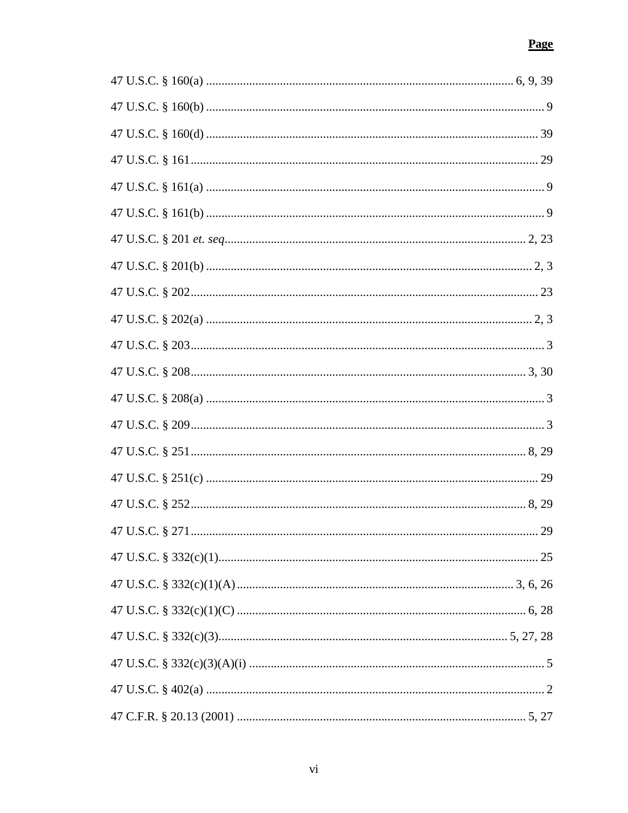| 29 |
|----|
|    |
|    |
|    |
|    |
|    |
|    |
|    |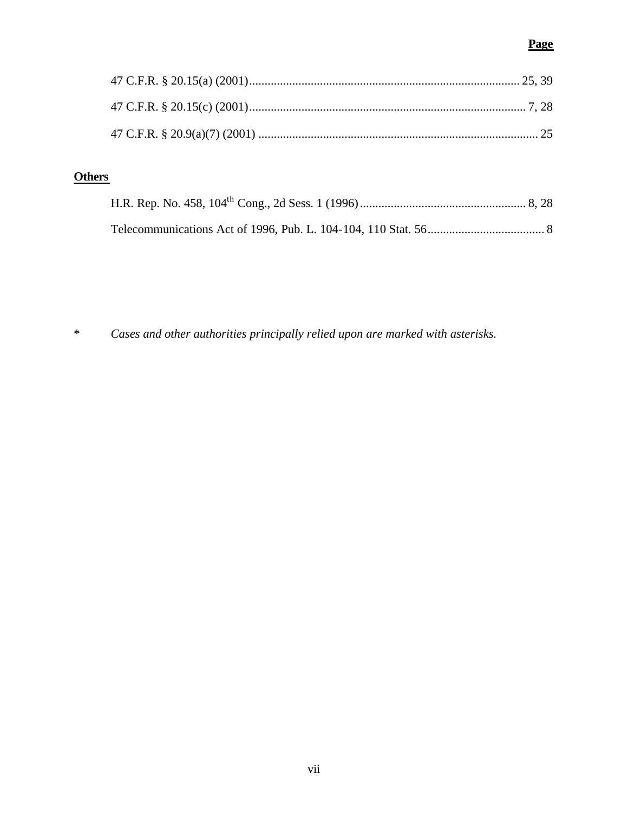# **Others**

\* *Cases and other authorities principally relied upon are marked with asterisks.*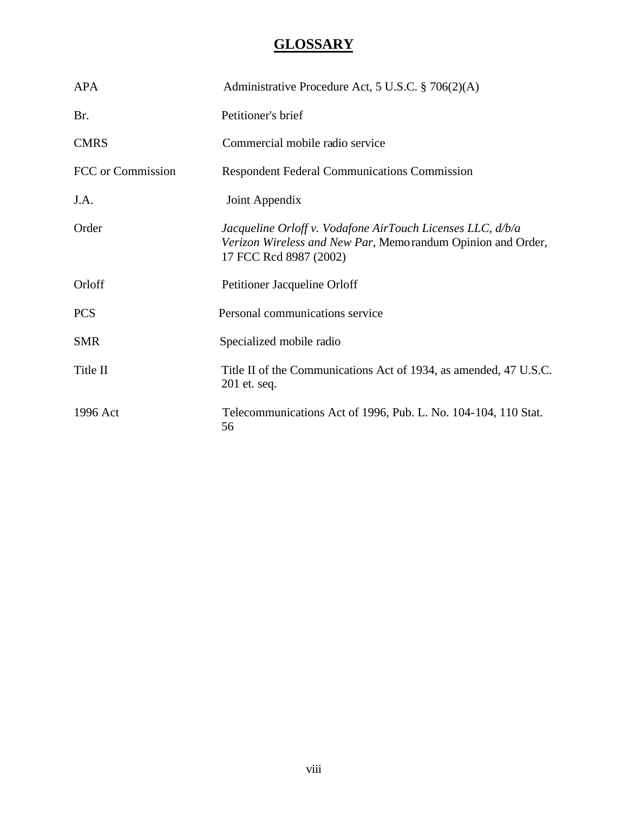# **GLOSSARY**

| <b>APA</b>        | Administrative Procedure Act, 5 U.S.C. § 706(2)(A)                                                                                                  |
|-------------------|-----------------------------------------------------------------------------------------------------------------------------------------------------|
| Br.               | Petitioner's brief                                                                                                                                  |
| <b>CMRS</b>       | Commercial mobile radio service                                                                                                                     |
| FCC or Commission | <b>Respondent Federal Communications Commission</b>                                                                                                 |
| J.A.              | Joint Appendix                                                                                                                                      |
| Order             | Jacqueline Orloff v. Vodafone AirTouch Licenses LLC, d/b/a<br>Verizon Wireless and New Par, Memorandum Opinion and Order,<br>17 FCC Rcd 8987 (2002) |
| Orloff            | Petitioner Jacqueline Orloff                                                                                                                        |
| <b>PCS</b>        | Personal communications service                                                                                                                     |
| <b>SMR</b>        | Specialized mobile radio                                                                                                                            |
| Title II          | Title II of the Communications Act of 1934, as amended, 47 U.S.C.<br>201 et. seq.                                                                   |
| 1996 Act          | Telecommunications Act of 1996, Pub. L. No. 104-104, 110 Stat.<br>56                                                                                |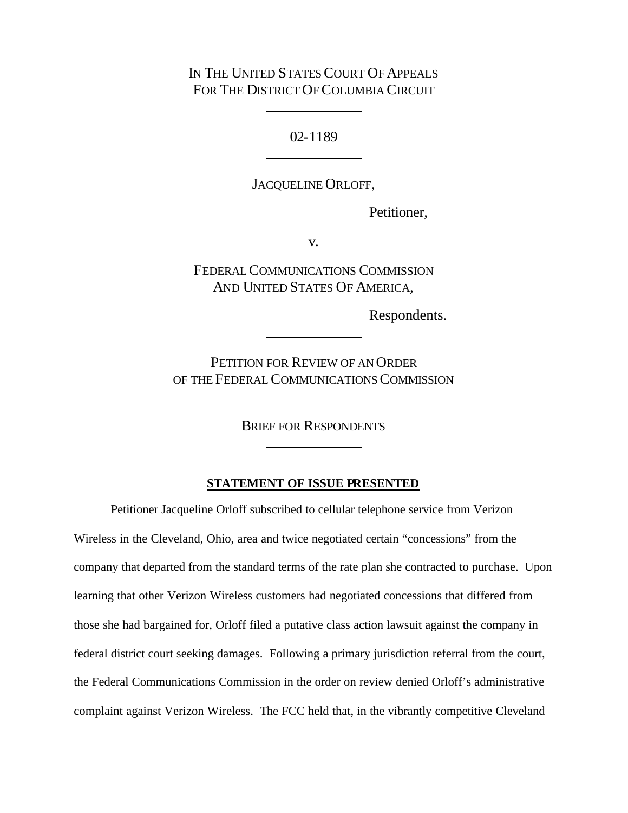# IN THE UNITED STATES COURT OF APPEALS FOR THE DISTRICT OF COLUMBIA CIRCUIT

02-1189

JACQUELINE ORLOFF,

Petitioner,

v.

FEDERAL COMMUNICATIONS COMMISSION AND UNITED STATES OF AMERICA,

Respondents.

PETITION FOR REVIEW OF AN ORDER OF THE FEDERAL COMMUNICATIONS COMMISSION

BRIEF FOR RESPONDENTS

## **STATEMENT OF ISSUE PRESENTED**

Petitioner Jacqueline Orloff subscribed to cellular telephone service from Verizon Wireless in the Cleveland, Ohio, area and twice negotiated certain "concessions" from the company that departed from the standard terms of the rate plan she contracted to purchase. Upon learning that other Verizon Wireless customers had negotiated concessions that differed from those she had bargained for, Orloff filed a putative class action lawsuit against the company in federal district court seeking damages. Following a primary jurisdiction referral from the court, the Federal Communications Commission in the order on review denied Orloff's administrative complaint against Verizon Wireless. The FCC held that, in the vibrantly competitive Cleveland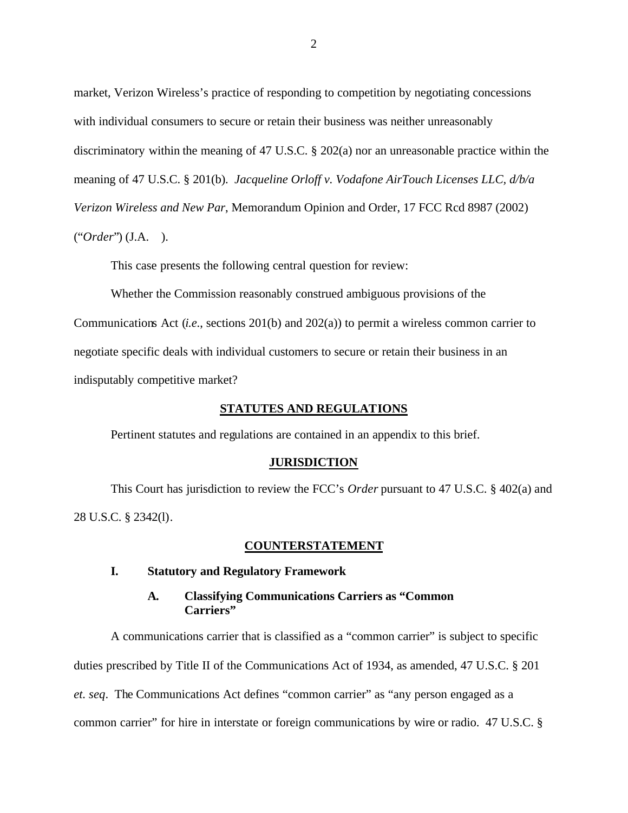market, Verizon Wireless's practice of responding to competition by negotiating concessions with individual consumers to secure or retain their business was neither unreasonably discriminatory within the meaning of 47 U.S.C. § 202(a) nor an unreasonable practice within the meaning of 47 U.S.C. § 201(b). *Jacqueline Orloff v. Vodafone AirTouch Licenses LLC, d/b/a Verizon Wireless and New Par*, Memorandum Opinion and Order, 17 FCC Rcd 8987 (2002) ("*Order*") (J.A. ).

This case presents the following central question for review:

Whether the Commission reasonably construed ambiguous provisions of the Communications Act (*i.e*., sections 201(b) and 202(a)) to permit a wireless common carrier to negotiate specific deals with individual customers to secure or retain their business in an indisputably competitive market?

#### **STATUTES AND REGULATIONS**

Pertinent statutes and regulations are contained in an appendix to this brief.

#### **JURISDICTION**

This Court has jurisdiction to review the FCC's *Order* pursuant to 47 U.S.C. § 402(a) and 28 U.S.C. § 2342(l).

#### **COUNTERSTATEMENT**

#### **I. Statutory and Regulatory Framework**

## **A. Classifying Communications Carriers as "Common Carriers"**

A communications carrier that is classified as a "common carrier" is subject to specific duties prescribed by Title II of the Communications Act of 1934, as amended, 47 U.S.C. § 201 *et. seq*. The Communications Act defines "common carrier" as "any person engaged as a common carrier" for hire in interstate or foreign communications by wire or radio. 47 U.S.C. §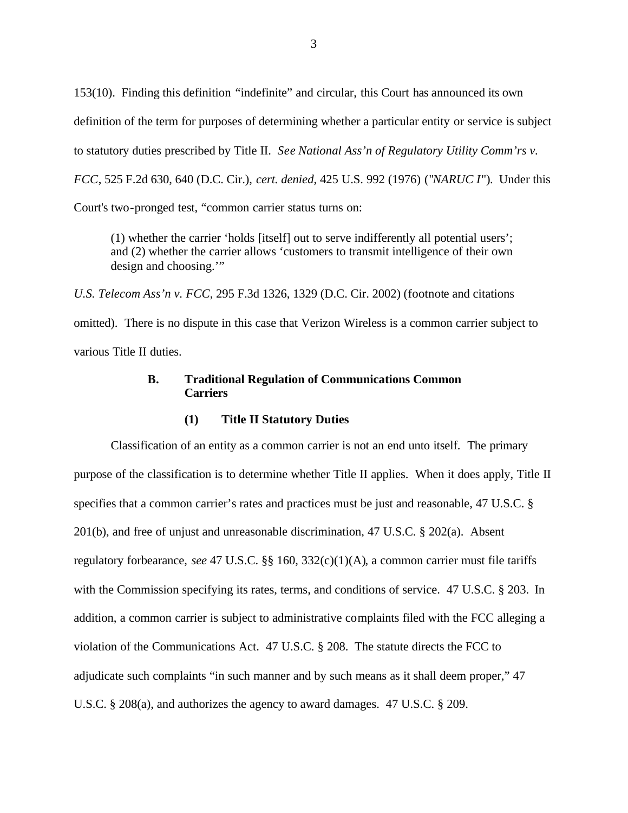153(10). Finding this definition "indefinite" and circular, this Court has announced its own definition of the term for purposes of determining whether a particular entity or service is subject to statutory duties prescribed by Title II. *See National Ass'n of Regulatory Utility Comm'rs v. FCC*, 525 F.2d 630, 640 (D.C. Cir.), *cert. denied*, 425 U.S. 992 (1976) ("*NARUC I*"). Under this Court's two-pronged test, "common carrier status turns on:

(1) whether the carrier 'holds [itself] out to serve indifferently all potential users'; and (2) whether the carrier allows 'customers to transmit intelligence of their own design and choosing.'"

*U.S. Telecom Ass'n v. FCC*, 295 F.3d 1326, 1329 (D.C. Cir. 2002) (footnote and citations omitted). There is no dispute in this case that Verizon Wireless is a common carrier subject to various Title II duties.

## **B. Traditional Regulation of Communications Common Carriers**

#### **(1) Title II Statutory Duties**

Classification of an entity as a common carrier is not an end unto itself. The primary purpose of the classification is to determine whether Title II applies. When it does apply, Title II specifies that a common carrier's rates and practices must be just and reasonable, 47 U.S.C. § 201(b), and free of unjust and unreasonable discrimination, 47 U.S.C. § 202(a). Absent regulatory forbearance, *see* 47 U.S.C. §§ 160, 332(c)(1)(A), a common carrier must file tariffs with the Commission specifying its rates, terms, and conditions of service. 47 U.S.C. § 203. In addition, a common carrier is subject to administrative complaints filed with the FCC alleging a violation of the Communications Act. 47 U.S.C. § 208. The statute directs the FCC to adjudicate such complaints "in such manner and by such means as it shall deem proper," 47 U.S.C. § 208(a), and authorizes the agency to award damages. 47 U.S.C. § 209.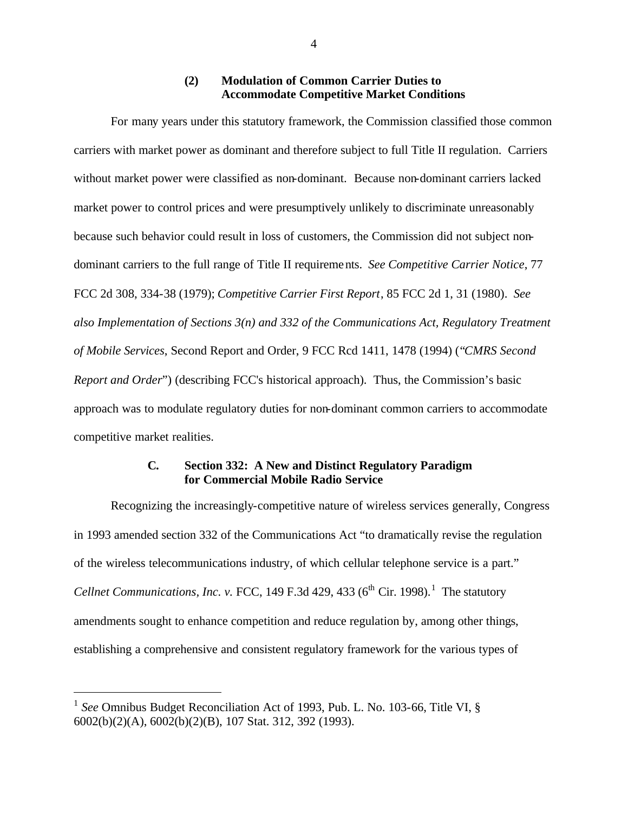### **(2) Modulation of Common Carrier Duties to Accommodate Competitive Market Conditions**

For many years under this statutory framework, the Commission classified those common carriers with market power as dominant and therefore subject to full Title II regulation. Carriers without market power were classified as non-dominant. Because non-dominant carriers lacked market power to control prices and were presumptively unlikely to discriminate unreasonably because such behavior could result in loss of customers, the Commission did not subject nondominant carriers to the full range of Title II requirements. *See Competitive Carrier Notice*, 77 FCC 2d 308, 334-38 (1979); *Competitive Carrier First Report*, 85 FCC 2d 1, 31 (1980). *See also Implementation of Sections 3(n) and 332 of the Communications Act, Regulatory Treatment of Mobile Services*, Second Report and Order, 9 FCC Rcd 1411, 1478 (1994) ("*CMRS Second Report and Order*") (describing FCC's historical approach). Thus, the Commission's basic approach was to modulate regulatory duties for non-dominant common carriers to accommodate competitive market realities.

## **C. Section 332: A New and Distinct Regulatory Paradigm for Commercial Mobile Radio Service**

Recognizing the increasingly-competitive nature of wireless services generally, Congress in 1993 amended section 332 of the Communications Act "to dramatically revise the regulation of the wireless telecommunications industry, of which cellular telephone service is a part." *Cellnet Communications, Inc. v.* FCC, 149 F.3d 429, 433  $(6<sup>th</sup> Cir. 1998).$ <sup>1</sup> The statutory amendments sought to enhance competition and reduce regulation by, among other things, establishing a comprehensive and consistent regulatory framework for the various types of

<sup>&</sup>lt;sup>1</sup> See Omnibus Budget Reconciliation Act of 1993, Pub. L. No. 103-66, Title VI, § 6002(b)(2)(A), 6002(b)(2)(B), 107 Stat. 312, 392 (1993).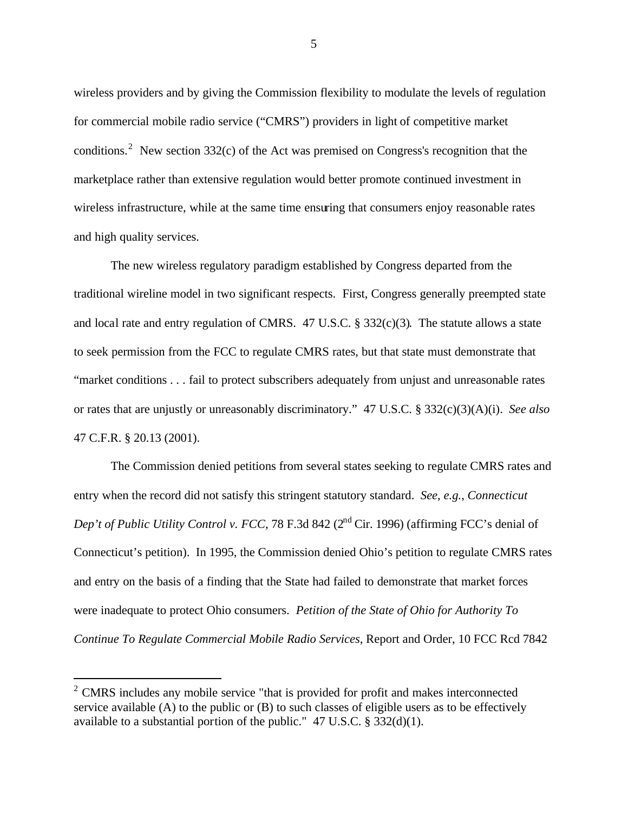wireless providers and by giving the Commission flexibility to modulate the levels of regulation for commercial mobile radio service ("CMRS") providers in light of competitive market conditions.<sup>2</sup> New section 332(c) of the Act was premised on Congress's recognition that the marketplace rather than extensive regulation would better promote continued investment in wireless infrastructure, while at the same time ensuring that consumers enjoy reasonable rates and high quality services.

The new wireless regulatory paradigm established by Congress departed from the traditional wireline model in two significant respects. First, Congress generally preempted state and local rate and entry regulation of CMRS. 47 U.S.C. § 332(c)(3). The statute allows a state to seek permission from the FCC to regulate CMRS rates, but that state must demonstrate that "market conditions . . . fail to protect subscribers adequately from unjust and unreasonable rates or rates that are unjustly or unreasonably discriminatory." 47 U.S.C. § 332(c)(3)(A)(i). *See also* 47 C.F.R. § 20.13 (2001).

The Commission denied petitions from several states seeking to regulate CMRS rates and entry when the record did not satisfy this stringent statutory standard. *See*, *e.g.*, *Connecticut Dep't of Public Utility Control v. FCC*, 78 F.3d 842 (2<sup>nd</sup> Cir. 1996) (affirming FCC's denial of Connecticut's petition). In 1995, the Commission denied Ohio's petition to regulate CMRS rates and entry on the basis of a finding that the State had failed to demonstrate that market forces were inadequate to protect Ohio consumers. *Petition of the State of Ohio for Authority To Continue To Regulate Commercial Mobile Radio Services*, Report and Order, 10 FCC Rcd 7842

l

 $2^{\circ}$  CMRS includes any mobile service "that is provided for profit and makes interconnected service available (A) to the public or (B) to such classes of eligible users as to be effectively available to a substantial portion of the public." 47 U.S.C. § 332(d)(1).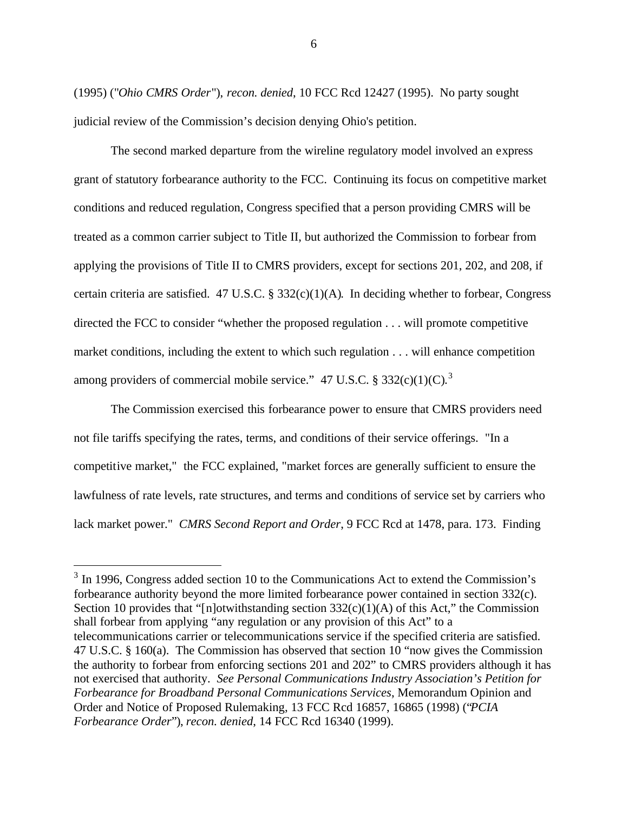(1995) ("*Ohio CMRS Order*"), *recon. denied*, 10 FCC Rcd 12427 (1995). No party sought judicial review of the Commission's decision denying Ohio's petition.

The second marked departure from the wireline regulatory model involved an express grant of statutory forbearance authority to the FCC. Continuing its focus on competitive market conditions and reduced regulation, Congress specified that a person providing CMRS will be treated as a common carrier subject to Title II, but authorized the Commission to forbear from applying the provisions of Title II to CMRS providers, except for sections 201, 202, and 208, if certain criteria are satisfied. 47 U.S.C. § 332(c)(1)(A). In deciding whether to forbear, Congress directed the FCC to consider "whether the proposed regulation . . . will promote competitive market conditions, including the extent to which such regulation . . . will enhance competition among providers of commercial mobile service." 47 U.S.C. § 332 $(c)(1)(C)^3$ 

The Commission exercised this forbearance power to ensure that CMRS providers need not file tariffs specifying the rates, terms, and conditions of their service offerings. "In a competitive market," the FCC explained, "market forces are generally sufficient to ensure the lawfulness of rate levels, rate structures, and terms and conditions of service set by carriers who lack market power." *CMRS Second Report and Order*, 9 FCC Rcd at 1478, para. 173. Finding

 $3$  In 1996, Congress added section 10 to the Communications Act to extend the Commission's forbearance authority beyond the more limited forbearance power contained in section 332(c). Section 10 provides that "[n]otwithstanding section  $332(c)(1)(A)$  of this Act," the Commission shall forbear from applying "any regulation or any provision of this Act" to a telecommunications carrier or telecommunications service if the specified criteria are satisfied. 47 U.S.C. § 160(a). The Commission has observed that section 10 "now gives the Commission the authority to forbear from enforcing sections 201 and 202" to CMRS providers although it has not exercised that authority. *See Personal Communications Industry Association's Petition for Forbearance for Broadband Personal Communications Services*, Memorandum Opinion and Order and Notice of Proposed Rulemaking, 13 FCC Rcd 16857, 16865 (1998) ("*PCIA Forbearance Order*"), *recon. denied*, 14 FCC Rcd 16340 (1999).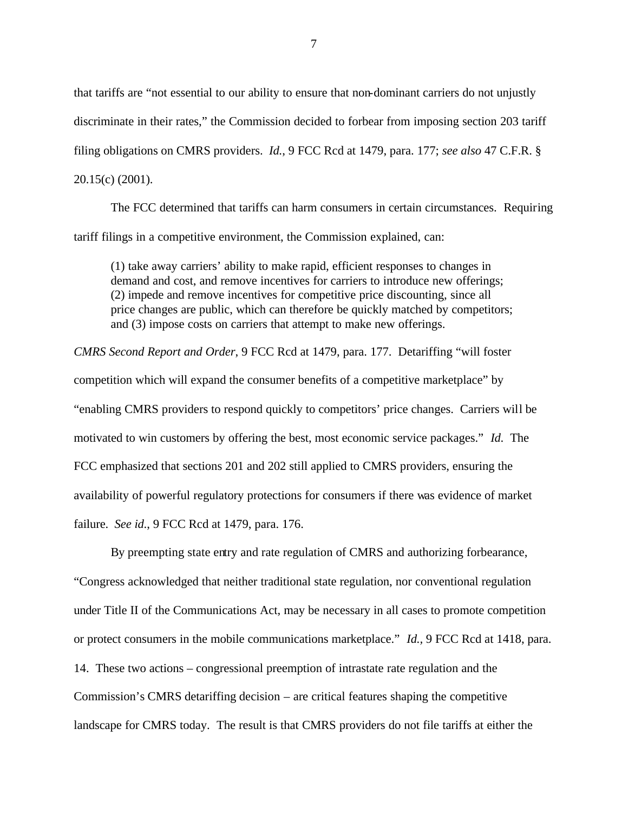that tariffs are "not essential to our ability to ensure that non-dominant carriers do not unjustly discriminate in their rates," the Commission decided to forbear from imposing section 203 tariff filing obligations on CMRS providers. *Id.*, 9 FCC Rcd at 1479, para. 177; *see also* 47 C.F.R. § 20.15(c) (2001).

The FCC determined that tariffs can harm consumers in certain circumstances. Requiring tariff filings in a competitive environment, the Commission explained, can:

(1) take away carriers' ability to make rapid, efficient responses to changes in demand and cost, and remove incentives for carriers to introduce new offerings; (2) impede and remove incentives for competitive price discounting, since all price changes are public, which can therefore be quickly matched by competitors; and (3) impose costs on carriers that attempt to make new offerings.

*CMRS Second Report and Order*, 9 FCC Rcd at 1479, para. 177. Detariffing "will foster competition which will expand the consumer benefits of a competitive marketplace" by "enabling CMRS providers to respond quickly to competitors' price changes. Carriers will be motivated to win customers by offering the best, most economic service packages." *Id*. The FCC emphasized that sections 201 and 202 still applied to CMRS providers, ensuring the availability of powerful regulatory protections for consumers if there was evidence of market failure. *See id*., 9 FCC Rcd at 1479, para. 176.

By preempting state entry and rate regulation of CMRS and authorizing forbearance, "Congress acknowledged that neither traditional state regulation, nor conventional regulation under Title II of the Communications Act, may be necessary in all cases to promote competition or protect consumers in the mobile communications marketplace." *Id.,* 9 FCC Rcd at 1418, para. 14. These two actions – congressional preemption of intrastate rate regulation and the Commission's CMRS detariffing decision – are critical features shaping the competitive landscape for CMRS today. The result is that CMRS providers do not file tariffs at either the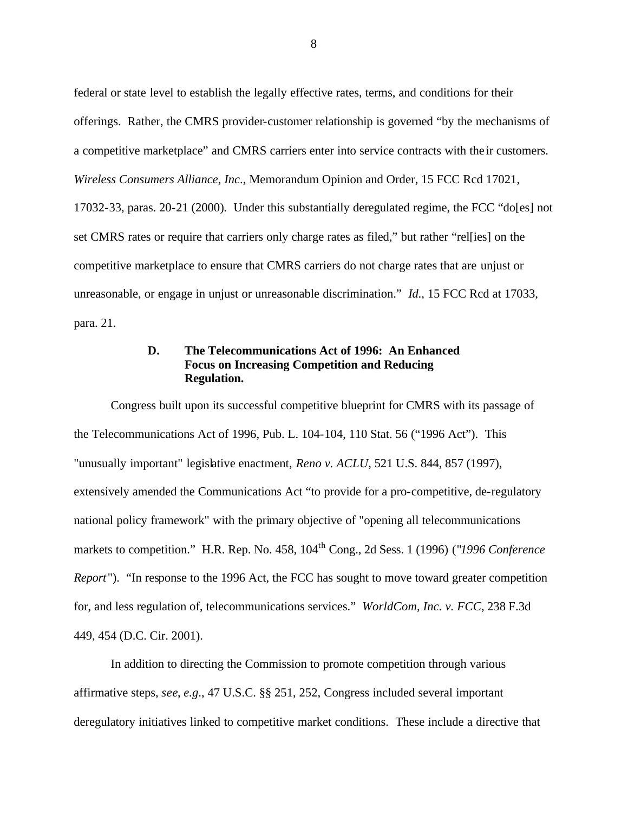federal or state level to establish the legally effective rates, terms, and conditions for their offerings. Rather, the CMRS provider-customer relationship is governed "by the mechanisms of a competitive marketplace" and CMRS carriers enter into service contracts with the ir customers. *Wireless Consumers Alliance, Inc*., Memorandum Opinion and Order, 15 FCC Rcd 17021, 17032-33, paras. 20-21 (2000). Under this substantially deregulated regime, the FCC "do[es] not set CMRS rates or require that carriers only charge rates as filed," but rather "rel[ies] on the competitive marketplace to ensure that CMRS carriers do not charge rates that are unjust or unreasonable, or engage in unjust or unreasonable discrimination." *Id*., 15 FCC Rcd at 17033, para. 21.

## **D. The Telecommunications Act of 1996: An Enhanced Focus on Increasing Competition and Reducing Regulation.**

Congress built upon its successful competitive blueprint for CMRS with its passage of the Telecommunications Act of 1996, Pub. L. 104-104, 110 Stat. 56 ("1996 Act"). This "unusually important" legislative enactment, *Reno v. ACLU*, 521 U.S. 844, 857 (1997), extensively amended the Communications Act "to provide for a pro-competitive, de-regulatory national policy framework" with the primary objective of "opening all telecommunications markets to competition." H.R. Rep. No. 458, 104th Cong., 2d Sess. 1 (1996) ("*1996 Conference Report* "). "In response to the 1996 Act, the FCC has sought to move toward greater competition for, and less regulation of, telecommunications services." *WorldCom, Inc. v. FCC*, 238 F.3d 449, 454 (D.C. Cir. 2001).

In addition to directing the Commission to promote competition through various affirmative steps, *see*, *e.g*., 47 U.S.C. §§ 251, 252, Congress included several important deregulatory initiatives linked to competitive market conditions. These include a directive that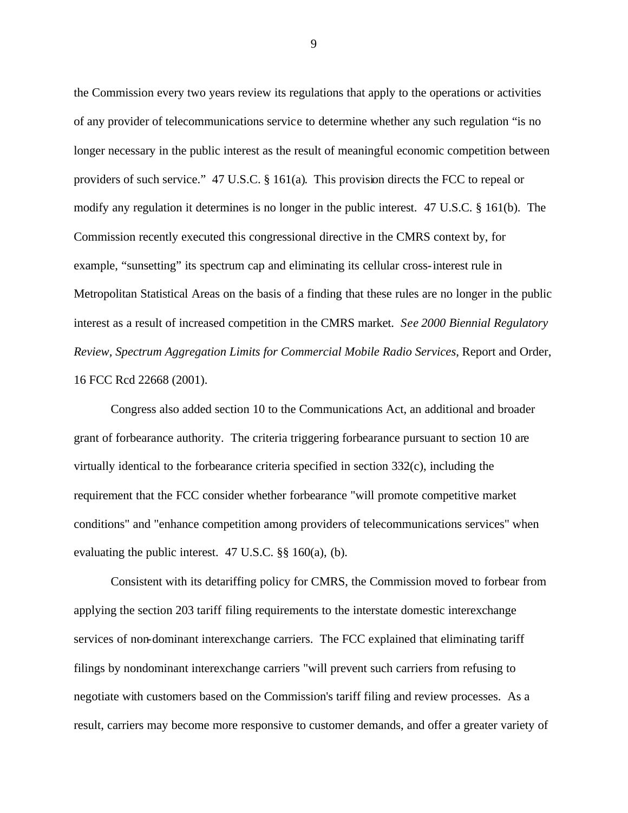the Commission every two years review its regulations that apply to the operations or activities of any provider of telecommunications service to determine whether any such regulation "is no longer necessary in the public interest as the result of meaningful economic competition between providers of such service." 47 U.S.C. § 161(a). This provision directs the FCC to repeal or modify any regulation it determines is no longer in the public interest. 47 U.S.C. § 161(b). The Commission recently executed this congressional directive in the CMRS context by, for example, "sunsetting" its spectrum cap and eliminating its cellular cross-interest rule in Metropolitan Statistical Areas on the basis of a finding that these rules are no longer in the public interest as a result of increased competition in the CMRS market. *See 2000 Biennial Regulatory Review, Spectrum Aggregation Limits for Commercial Mobile Radio Services*, Report and Order, 16 FCC Rcd 22668 (2001).

Congress also added section 10 to the Communications Act, an additional and broader grant of forbearance authority. The criteria triggering forbearance pursuant to section 10 are virtually identical to the forbearance criteria specified in section 332(c), including the requirement that the FCC consider whether forbearance "will promote competitive market conditions" and "enhance competition among providers of telecommunications services" when evaluating the public interest. 47 U.S.C. §§ 160(a), (b).

Consistent with its detariffing policy for CMRS, the Commission moved to forbear from applying the section 203 tariff filing requirements to the interstate domestic interexchange services of non-dominant interexchange carriers. The FCC explained that eliminating tariff filings by nondominant interexchange carriers "will prevent such carriers from refusing to negotiate with customers based on the Commission's tariff filing and review processes. As a result, carriers may become more responsive to customer demands, and offer a greater variety of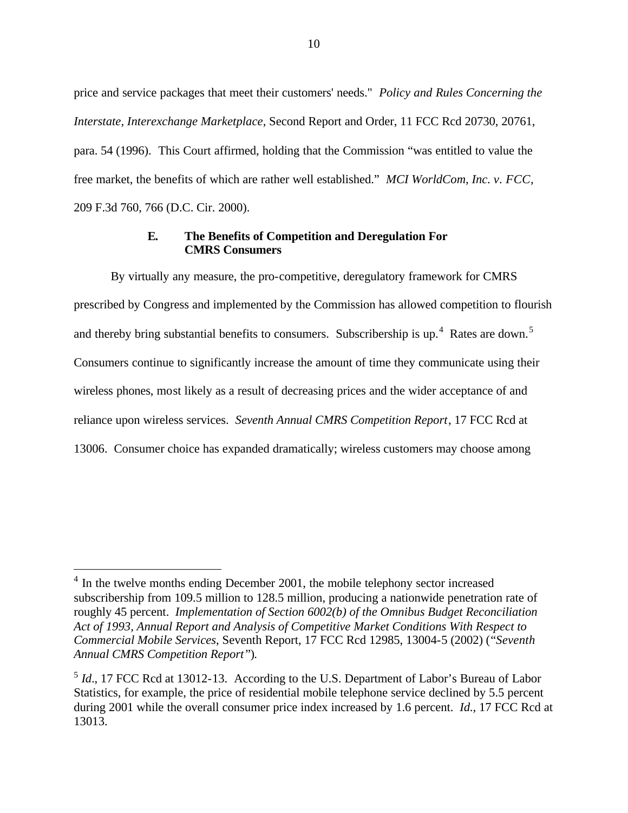price and service packages that meet their customers' needs." *Policy and Rules Concerning the Interstate, Interexchange Marketplace*, Second Report and Order, 11 FCC Rcd 20730, 20761, para. 54 (1996). This Court affirmed, holding that the Commission "was entitled to value the free market, the benefits of which are rather well established." *MCI WorldCom, Inc. v. FCC*, 209 F.3d 760, 766 (D.C. Cir. 2000).

### **E. The Benefits of Competition and Deregulation For CMRS Consumers**

By virtually any measure, the pro-competitive, deregulatory framework for CMRS prescribed by Congress and implemented by the Commission has allowed competition to flourish and thereby bring substantial benefits to consumers. Subscribership is up.<sup>4</sup> Rates are down.<sup>5</sup> Consumers continue to significantly increase the amount of time they communicate using their wireless phones, most likely as a result of decreasing prices and the wider acceptance of and reliance upon wireless services. *Seventh Annual CMRS Competition Report*, 17 FCC Rcd at 13006. Consumer choice has expanded dramatically; wireless customers may choose among

<sup>&</sup>lt;sup>4</sup> In the twelve months ending December 2001, the mobile telephony sector increased subscribership from 109.5 million to 128.5 million, producing a nationwide penetration rate of roughly 45 percent. *Implementation of Section 6002(b) of the Omnibus Budget Reconciliation Act of 1993, Annual Report and Analysis of Competitive Market Conditions With Respect to Commercial Mobile Services*, Seventh Report, 17 FCC Rcd 12985, 13004-5 (2002) ("*Seventh Annual CMRS Competition Report* ").

<sup>&</sup>lt;sup>5</sup> *Id.*, 17 FCC Rcd at 13012-13. According to the U.S. Department of Labor's Bureau of Labor Statistics, for example, the price of residential mobile telephone service declined by 5.5 percent during 2001 while the overall consumer price index increased by 1.6 percent. *Id*., 17 FCC Rcd at 13013.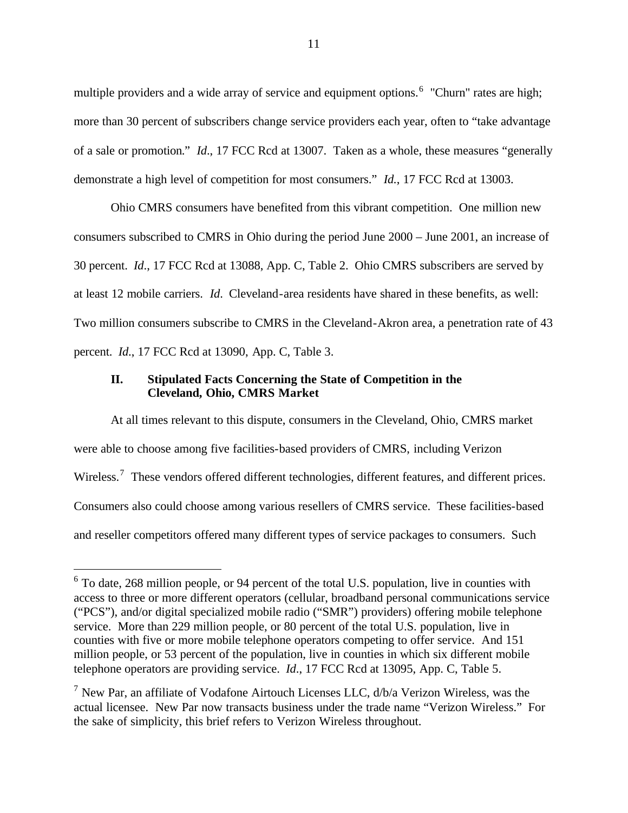multiple providers and a wide array of service and equipment options.<sup>6</sup> "Churn" rates are high; more than 30 percent of subscribers change service providers each year, often to "take advantage of a sale or promotion." *Id*., 17 FCC Rcd at 13007. Taken as a whole, these measures "generally demonstrate a high level of competition for most consumers." *Id.*, 17 FCC Rcd at 13003.

Ohio CMRS consumers have benefited from this vibrant competition. One million new consumers subscribed to CMRS in Ohio during the period June 2000 – June 2001, an increase of 30 percent. *Id*., 17 FCC Rcd at 13088, App. C, Table 2. Ohio CMRS subscribers are served by at least 12 mobile carriers. *Id*. Cleveland-area residents have shared in these benefits, as well: Two million consumers subscribe to CMRS in the Cleveland-Akron area, a penetration rate of 43 percent. *Id*., 17 FCC Rcd at 13090, App. C, Table 3.

# **II. Stipulated Facts Concerning the State of Competition in the Cleveland, Ohio, CMRS Market**

l

At all times relevant to this dispute, consumers in the Cleveland, Ohio, CMRS market were able to choose among five facilities-based providers of CMRS, including Verizon Wireless.<sup>7</sup> These vendors offered different technologies, different features, and different prices. Consumers also could choose among various resellers of CMRS service. These facilities-based and reseller competitors offered many different types of service packages to consumers. Such

<sup>&</sup>lt;sup>6</sup> To date, 268 million people, or 94 percent of the total U.S. population, live in counties with access to three or more different operators (cellular, broadband personal communications service ("PCS"), and/or digital specialized mobile radio ("SMR") providers) offering mobile telephone service. More than 229 million people, or 80 percent of the total U.S. population, live in counties with five or more mobile telephone operators competing to offer service. And 151 million people, or 53 percent of the population, live in counties in which six different mobile telephone operators are providing service. *Id*., 17 FCC Rcd at 13095, App. C, Table 5.

<sup>&</sup>lt;sup>7</sup> New Par, an affiliate of Vodafone Airtouch Licenses LLC,  $d/b/a$  Verizon Wireless, was the actual licensee. New Par now transacts business under the trade name "Verizon Wireless." For the sake of simplicity, this brief refers to Verizon Wireless throughout.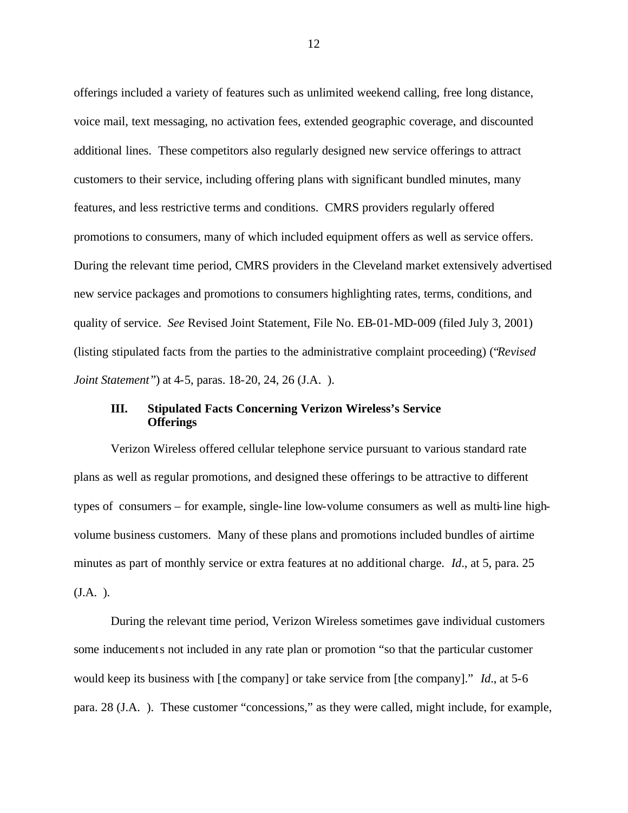offerings included a variety of features such as unlimited weekend calling, free long distance, voice mail, text messaging, no activation fees, extended geographic coverage, and discounted additional lines. These competitors also regularly designed new service offerings to attract customers to their service, including offering plans with significant bundled minutes, many features, and less restrictive terms and conditions. CMRS providers regularly offered promotions to consumers, many of which included equipment offers as well as service offers. During the relevant time period, CMRS providers in the Cleveland market extensively advertised new service packages and promotions to consumers highlighting rates, terms, conditions, and quality of service. *See* Revised Joint Statement, File No. EB-01-MD-009 (filed July 3, 2001) (listing stipulated facts from the parties to the administrative complaint proceeding) ("*Revised Joint Statement* ") at 4-5, paras. 18-20, 24, 26 (J.A. ).

### **III. Stipulated Facts Concerning Verizon Wireless's Service Offerings**

Verizon Wireless offered cellular telephone service pursuant to various standard rate plans as well as regular promotions, and designed these offerings to be attractive to different types of consumers – for example, single-line low-volume consumers as well as multi-line highvolume business customers. Many of these plans and promotions included bundles of airtime minutes as part of monthly service or extra features at no additional charge. *Id*., at 5, para. 25 (J.A. ).

During the relevant time period, Verizon Wireless sometimes gave individual customers some inducements not included in any rate plan or promotion "so that the particular customer would keep its business with [the company] or take service from [the company]." *Id*., at 5-6 para. 28 (J.A. ). These customer "concessions," as they were called, might include, for example,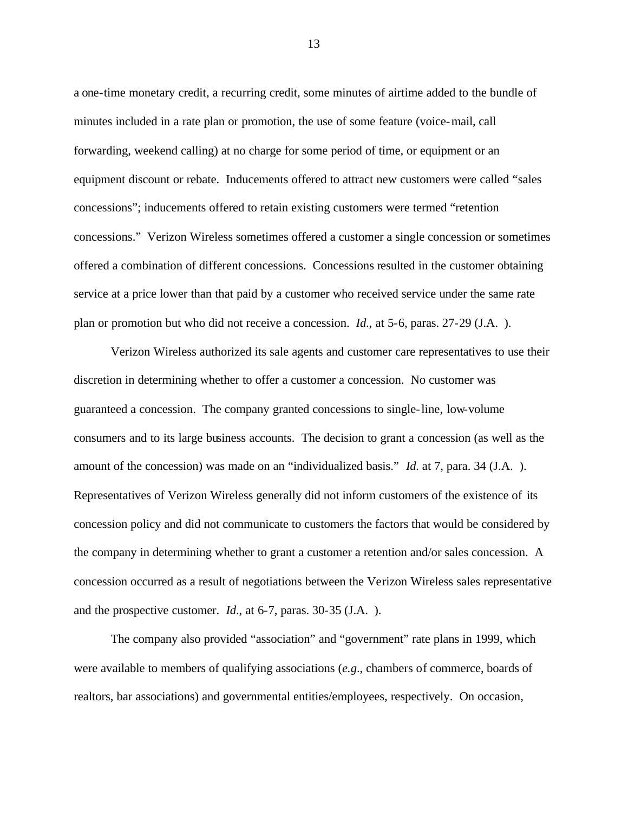a one-time monetary credit, a recurring credit, some minutes of airtime added to the bundle of minutes included in a rate plan or promotion, the use of some feature (voice-mail, call forwarding, weekend calling) at no charge for some period of time, or equipment or an equipment discount or rebate. Inducements offered to attract new customers were called "sales concessions"; inducements offered to retain existing customers were termed "retention concessions." Verizon Wireless sometimes offered a customer a single concession or sometimes offered a combination of different concessions. Concessions resulted in the customer obtaining service at a price lower than that paid by a customer who received service under the same rate plan or promotion but who did not receive a concession. *Id*., at 5-6, paras. 27-29 (J.A. ).

Verizon Wireless authorized its sale agents and customer care representatives to use their discretion in determining whether to offer a customer a concession. No customer was guaranteed a concession. The company granted concessions to single-line, low-volume consumers and to its large business accounts. The decision to grant a concession (as well as the amount of the concession) was made on an "individualized basis." *Id*. at 7, para. 34 (J.A. ). Representatives of Verizon Wireless generally did not inform customers of the existence of its concession policy and did not communicate to customers the factors that would be considered by the company in determining whether to grant a customer a retention and/or sales concession. A concession occurred as a result of negotiations between the Verizon Wireless sales representative and the prospective customer. *Id*., at 6-7, paras. 30-35 (J.A. ).

The company also provided "association" and "government" rate plans in 1999, which were available to members of qualifying associations (*e.g*., chambers of commerce, boards of realtors, bar associations) and governmental entities/employees, respectively. On occasion,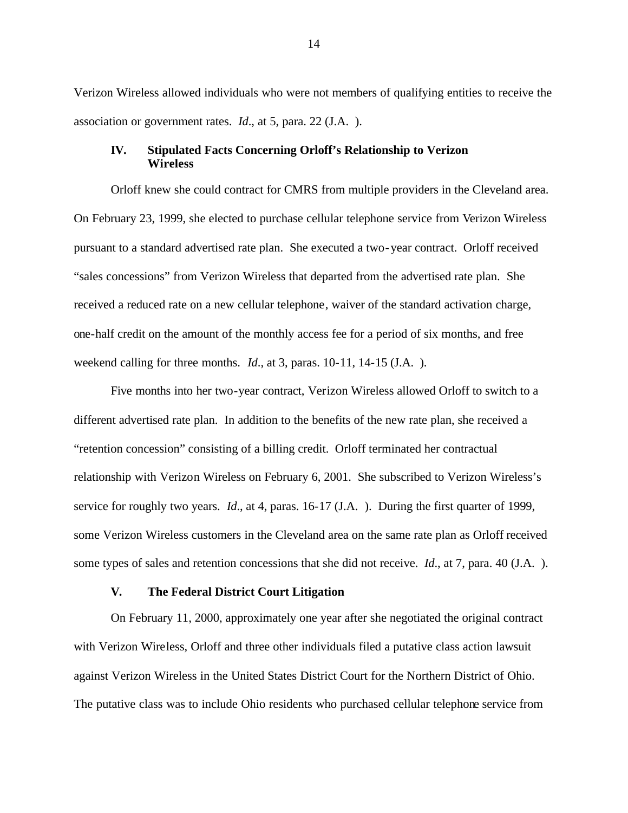Verizon Wireless allowed individuals who were not members of qualifying entities to receive the association or government rates. *Id*., at 5, para. 22 (J.A. ).

#### **IV. Stipulated Facts Concerning Orloff's Relationship to Verizon Wireless**

Orloff knew she could contract for CMRS from multiple providers in the Cleveland area. On February 23, 1999, she elected to purchase cellular telephone service from Verizon Wireless pursuant to a standard advertised rate plan. She executed a two-year contract. Orloff received "sales concessions" from Verizon Wireless that departed from the advertised rate plan. She received a reduced rate on a new cellular telephone, waiver of the standard activation charge, one-half credit on the amount of the monthly access fee for a period of six months, and free weekend calling for three months. *Id*., at 3, paras. 10-11, 14-15 (J.A. ).

Five months into her two-year contract, Verizon Wireless allowed Orloff to switch to a different advertised rate plan. In addition to the benefits of the new rate plan, she received a "retention concession" consisting of a billing credit. Orloff terminated her contractual relationship with Verizon Wireless on February 6, 2001. She subscribed to Verizon Wireless's service for roughly two years. *Id*., at 4, paras. 16-17 (J.A. ). During the first quarter of 1999, some Verizon Wireless customers in the Cleveland area on the same rate plan as Orloff received some types of sales and retention concessions that she did not receive. *Id*., at 7, para. 40 (J.A. ).

#### **V. The Federal District Court Litigation**

On February 11, 2000, approximately one year after she negotiated the original contract with Verizon Wireless, Orloff and three other individuals filed a putative class action lawsuit against Verizon Wireless in the United States District Court for the Northern District of Ohio. The putative class was to include Ohio residents who purchased cellular telephone service from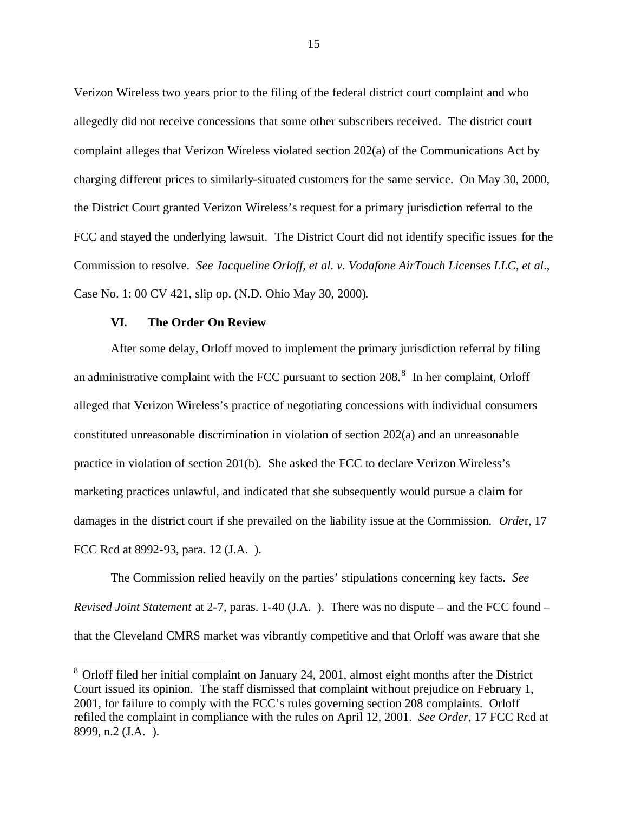Verizon Wireless two years prior to the filing of the federal district court complaint and who allegedly did not receive concessions that some other subscribers received. The district court complaint alleges that Verizon Wireless violated section 202(a) of the Communications Act by charging different prices to similarly-situated customers for the same service. On May 30, 2000, the District Court granted Verizon Wireless's request for a primary jurisdiction referral to the FCC and stayed the underlying lawsuit. The District Court did not identify specific issues for the Commission to resolve. *See Jacqueline Orloff, et al. v. Vodafone AirTouch Licenses LLC, et al*., Case No. 1: 00 CV 421, slip op. (N.D. Ohio May 30, 2000).

### **VI. The Order On Review**

l

After some delay, Orloff moved to implement the primary jurisdiction referral by filing an administrative complaint with the FCC pursuant to section  $208$ .<sup>8</sup> In her complaint, Orloff alleged that Verizon Wireless's practice of negotiating concessions with individual consumers constituted unreasonable discrimination in violation of section 202(a) and an unreasonable practice in violation of section 201(b). She asked the FCC to declare Verizon Wireless's marketing practices unlawful, and indicated that she subsequently would pursue a claim for damages in the district court if she prevailed on the liability issue at the Commission. *Orde*r, 17 FCC Rcd at 8992-93, para. 12 (J.A. ).

The Commission relied heavily on the parties' stipulations concerning key facts. *See Revised Joint Statement* at 2-7, paras. 1-40 (J.A. ). There was no dispute – and the FCC found – that the Cleveland CMRS market was vibrantly competitive and that Orloff was aware that she

<sup>&</sup>lt;sup>8</sup> Orloff filed her initial complaint on January 24, 2001, almost eight months after the District Court issued its opinion. The staff dismissed that complaint without prejudice on February 1, 2001, for failure to comply with the FCC's rules governing section 208 complaints. Orloff refiled the complaint in compliance with the rules on April 12, 2001. *See Order*, 17 FCC Rcd at 8999, n.2 (J.A. ).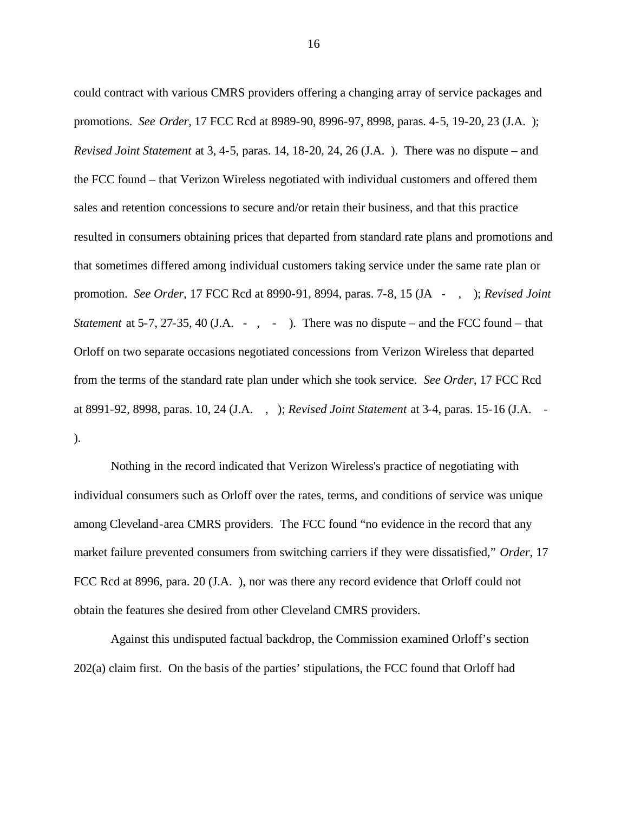could contract with various CMRS providers offering a changing array of service packages and promotions. *See Order,* 17 FCC Rcd at 8989-90, 8996-97, 8998, paras. 4-5, 19-20, 23 (J.A. ); *Revised Joint Statement* at 3, 4-5, paras. 14, 18-20, 24, 26 (J.A. ). There was no dispute – and the FCC found – that Verizon Wireless negotiated with individual customers and offered them sales and retention concessions to secure and/or retain their business, and that this practice resulted in consumers obtaining prices that departed from standard rate plans and promotions and that sometimes differed among individual customers taking service under the same rate plan or promotion. *See Order*, 17 FCC Rcd at 8990-91, 8994, paras. 7-8, 15 (JA - , ); *Revised Joint Statement* at 5-7, 27-35, 40 (J.A. -, -). There was no dispute – and the FCC found – that Orloff on two separate occasions negotiated concessions from Verizon Wireless that departed from the terms of the standard rate plan under which she took service. *See Order*, 17 FCC Rcd at 8991-92, 8998, paras. 10, 24 (J.A. , ); *Revised Joint Statement* at 3-4, paras. 15-16 (J.A. - ).

Nothing in the record indicated that Verizon Wireless's practice of negotiating with individual consumers such as Orloff over the rates, terms, and conditions of service was unique among Cleveland-area CMRS providers. The FCC found "no evidence in the record that any market failure prevented consumers from switching carriers if they were dissatisfied," *Order*, 17 FCC Rcd at 8996, para. 20 (J.A. ), nor was there any record evidence that Orloff could not obtain the features she desired from other Cleveland CMRS providers.

Against this undisputed factual backdrop, the Commission examined Orloff's section 202(a) claim first. On the basis of the parties' stipulations, the FCC found that Orloff had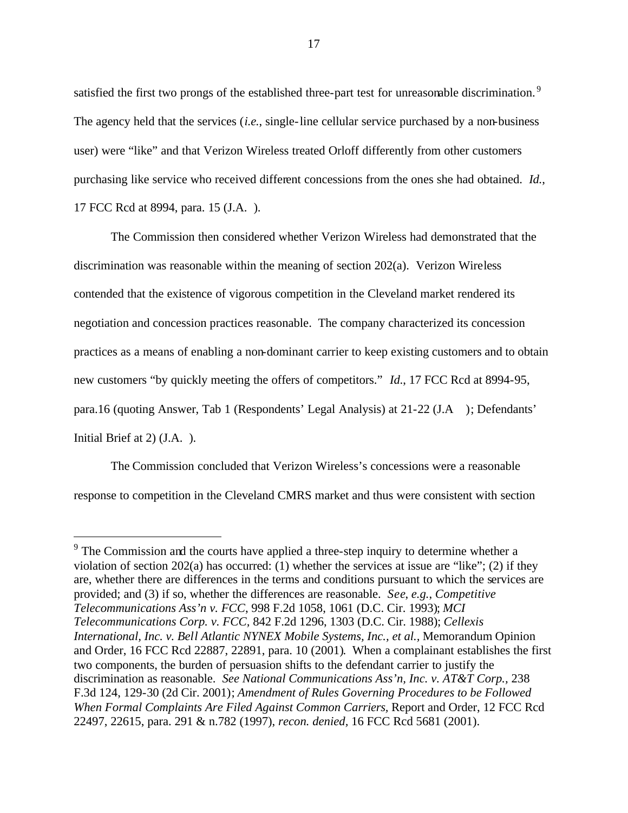satisfied the first two prongs of the established three-part test for unreasonable discrimination.<sup>9</sup> The agency held that the services (*i.e.*, single-line cellular service purchased by a non-business user) were "like" and that Verizon Wireless treated Orloff differently from other customers purchasing like service who received different concessions from the ones she had obtained. *Id.*, 17 FCC Rcd at 8994, para. 15 (J.A. ).

The Commission then considered whether Verizon Wireless had demonstrated that the discrimination was reasonable within the meaning of section 202(a). Verizon Wireless contended that the existence of vigorous competition in the Cleveland market rendered its negotiation and concession practices reasonable. The company characterized its concession practices as a means of enabling a non-dominant carrier to keep existing customers and to obtain new customers "by quickly meeting the offers of competitors." *Id.*, 17 FCC Rcd at 8994-95, para.16 (quoting Answer, Tab 1 (Respondents' Legal Analysis) at 21-22 (J.A ); Defendants' Initial Brief at 2) (J.A. ).

The Commission concluded that Verizon Wireless's concessions were a reasonable response to competition in the Cleveland CMRS market and thus were consistent with section

<sup>&</sup>lt;sup>9</sup> The Commission and the courts have applied a three-step inquiry to determine whether a violation of section 202(a) has occurred: (1) whether the services at issue are "like"; (2) if they are, whether there are differences in the terms and conditions pursuant to which the services are provided; and (3) if so, whether the differences are reasonable. *See*, *e.g.*, *Competitive Telecommunications Ass'n v. FCC*, 998 F.2d 1058, 1061 (D.C. Cir. 1993); *MCI Telecommunications Corp. v. FCC,* 842 F.2d 1296, 1303 (D.C. Cir. 1988); *Cellexis International, Inc. v. Bell Atlantic NYNEX Mobile Systems, Inc., et al.,* Memorandum Opinion and Order, 16 FCC Rcd 22887, 22891, para. 10 (2001). When a complainant establishes the first two components, the burden of persuasion shifts to the defendant carrier to justify the discrimination as reasonable. *See National Communications Ass'n, Inc. v. AT&T Corp.,* 238 F.3d 124, 129-30 (2d Cir. 2001); *Amendment of Rules Governing Procedures to be Followed When Formal Complaints Are Filed Against Common Carriers,* Report and Order, 12 FCC Rcd 22497, 22615, para. 291 & n.782 (1997), *recon. denied,* 16 FCC Rcd 5681 (2001).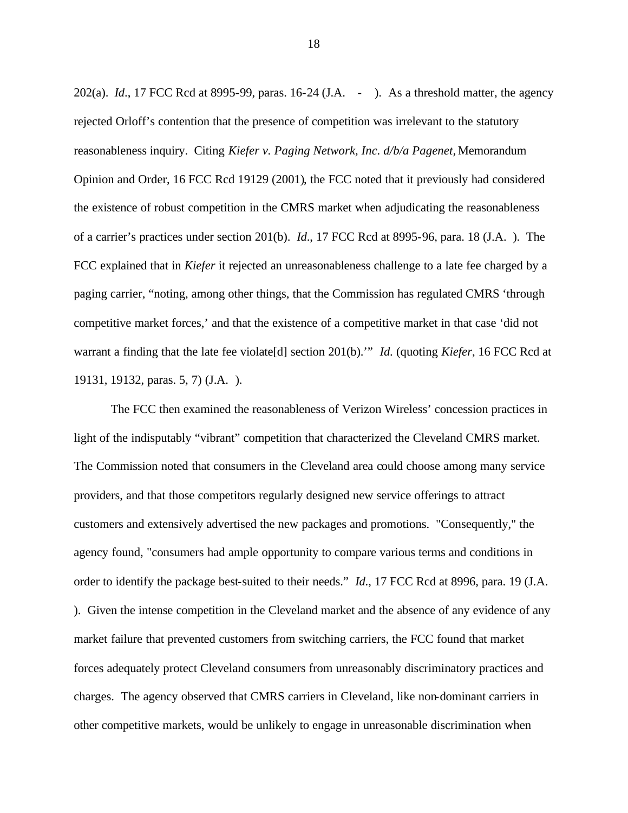202(a). *Id*., 17 FCC Rcd at 8995-99, paras. 16-24 (J.A. - ). As a threshold matter, the agency rejected Orloff's contention that the presence of competition was irrelevant to the statutory reasonableness inquiry. Citing *Kiefer v. Paging Network, Inc. d/b/a Pagenet,* Memorandum Opinion and Order, 16 FCC Rcd 19129 (2001), the FCC noted that it previously had considered the existence of robust competition in the CMRS market when adjudicating the reasonableness of a carrier's practices under section 201(b). *Id*., 17 FCC Rcd at 8995-96, para. 18 (J.A. ). The FCC explained that in *Kiefer* it rejected an unreasonableness challenge to a late fee charged by a paging carrier, "noting, among other things, that the Commission has regulated CMRS 'through competitive market forces,' and that the existence of a competitive market in that case 'did not warrant a finding that the late fee violate[d] section 201(b).'" *Id*. (quoting *Kiefer*, 16 FCC Rcd at 19131, 19132, paras. 5, 7) (J.A. ).

The FCC then examined the reasonableness of Verizon Wireless' concession practices in light of the indisputably "vibrant" competition that characterized the Cleveland CMRS market. The Commission noted that consumers in the Cleveland area could choose among many service providers, and that those competitors regularly designed new service offerings to attract customers and extensively advertised the new packages and promotions. "Consequently," the agency found, "consumers had ample opportunity to compare various terms and conditions in order to identify the package best-suited to their needs." *Id*., 17 FCC Rcd at 8996, para. 19 (J.A. ). Given the intense competition in the Cleveland market and the absence of any evidence of any market failure that prevented customers from switching carriers, the FCC found that market forces adequately protect Cleveland consumers from unreasonably discriminatory practices and charges. The agency observed that CMRS carriers in Cleveland, like non-dominant carriers in other competitive markets, would be unlikely to engage in unreasonable discrimination when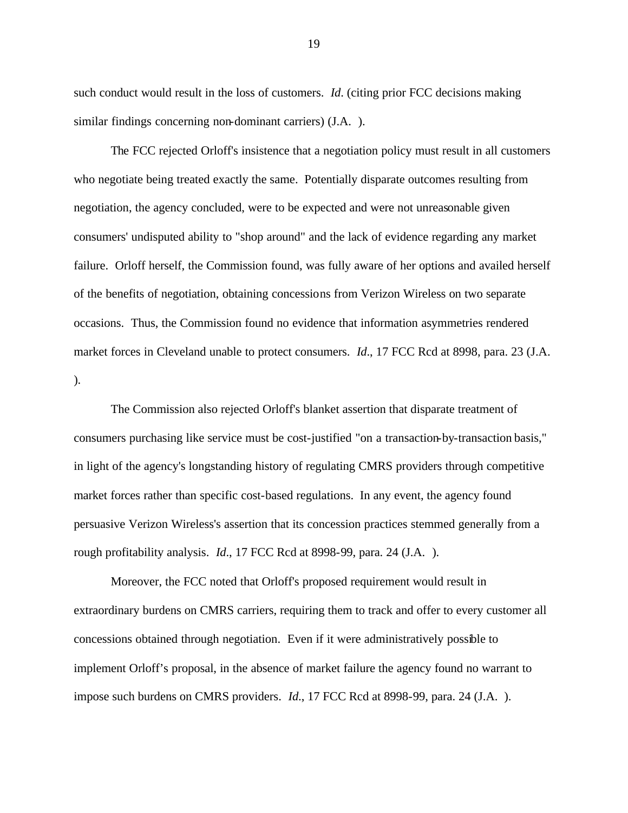such conduct would result in the loss of customers. *Id*. (citing prior FCC decisions making similar findings concerning non-dominant carriers) (J.A. ).

The FCC rejected Orloff's insistence that a negotiation policy must result in all customers who negotiate being treated exactly the same. Potentially disparate outcomes resulting from negotiation, the agency concluded, were to be expected and were not unreasonable given consumers' undisputed ability to "shop around" and the lack of evidence regarding any market failure. Orloff herself, the Commission found, was fully aware of her options and availed herself of the benefits of negotiation, obtaining concessions from Verizon Wireless on two separate occasions. Thus, the Commission found no evidence that information asymmetries rendered market forces in Cleveland unable to protect consumers. *Id*., 17 FCC Rcd at 8998, para. 23 (J.A. ).

The Commission also rejected Orloff's blanket assertion that disparate treatment of consumers purchasing like service must be cost-justified "on a transaction-by-transaction basis," in light of the agency's longstanding history of regulating CMRS providers through competitive market forces rather than specific cost-based regulations. In any event, the agency found persuasive Verizon Wireless's assertion that its concession practices stemmed generally from a rough profitability analysis. *Id*., 17 FCC Rcd at 8998-99, para. 24 (J.A. ).

Moreover, the FCC noted that Orloff's proposed requirement would result in extraordinary burdens on CMRS carriers, requiring them to track and offer to every customer all concessions obtained through negotiation. Even if it were administratively possible to implement Orloff's proposal, in the absence of market failure the agency found no warrant to impose such burdens on CMRS providers. *Id*., 17 FCC Rcd at 8998-99, para. 24 (J.A. ).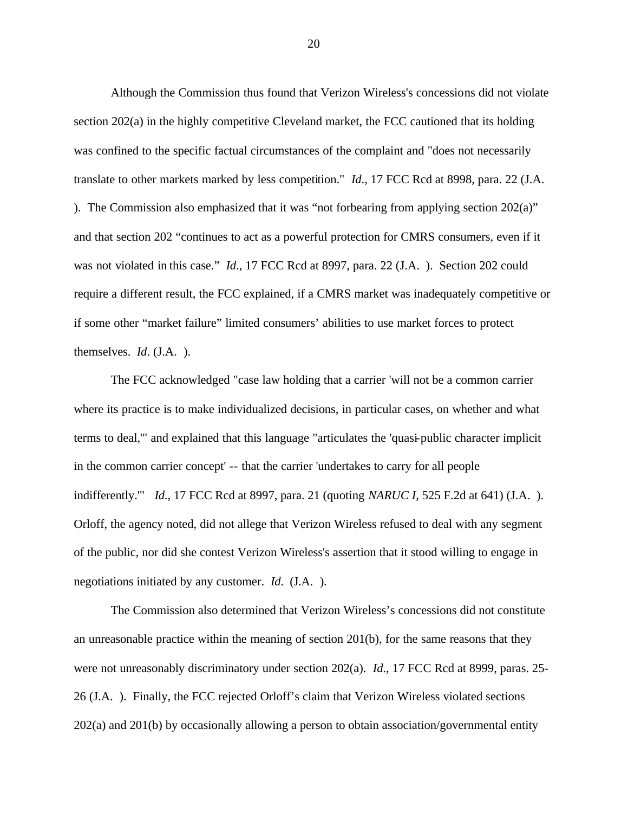Although the Commission thus found that Verizon Wireless's concessions did not violate section 202(a) in the highly competitive Cleveland market, the FCC cautioned that its holding was confined to the specific factual circumstances of the complaint and "does not necessarily translate to other markets marked by less competition." *Id*., 17 FCC Rcd at 8998, para. 22 (J.A. ). The Commission also emphasized that it was "not forbearing from applying section  $202(a)$ " and that section 202 "continues to act as a powerful protection for CMRS consumers, even if it was not violated in this case." *Id*., 17 FCC Rcd at 8997, para. 22 (J.A. ). Section 202 could require a different result, the FCC explained, if a CMRS market was inadequately competitive or if some other "market failure" limited consumers' abilities to use market forces to protect themselves. *Id*. (J.A. ).

The FCC acknowledged "case law holding that a carrier 'will not be a common carrier where its practice is to make individualized decisions, in particular cases, on whether and what terms to deal,'" and explained that this language "articulates the 'quasi-public character implicit in the common carrier concept' -- that the carrier 'undertakes to carry for all people indifferently.'" *Id*., 17 FCC Rcd at 8997, para. 21 (quoting *NARUC I,* 525 F.2d at 641) (J.A. ). Orloff, the agency noted, did not allege that Verizon Wireless refused to deal with any segment of the public, nor did she contest Verizon Wireless's assertion that it stood willing to engage in negotiations initiated by any customer. *Id*. (J.A. ).

The Commission also determined that Verizon Wireless's concessions did not constitute an unreasonable practice within the meaning of section 201(b), for the same reasons that they were not unreasonably discriminatory under section 202(a). *Id*., 17 FCC Rcd at 8999, paras. 25- 26 (J.A. ). Finally, the FCC rejected Orloff's claim that Verizon Wireless violated sections 202(a) and 201(b) by occasionally allowing a person to obtain association/governmental entity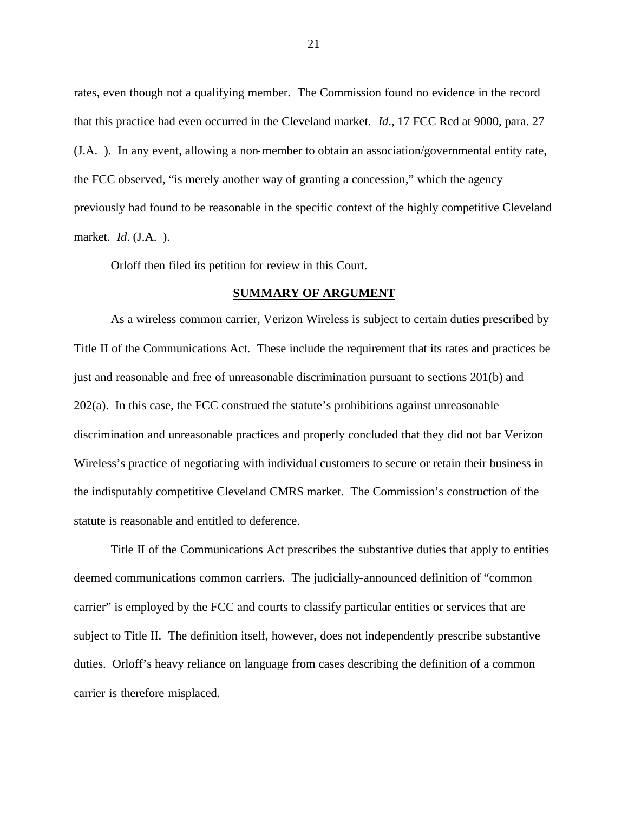rates, even though not a qualifying member. The Commission found no evidence in the record that this practice had even occurred in the Cleveland market. *Id*., 17 FCC Rcd at 9000, para. 27 (J.A. ). In any event, allowing a non-member to obtain an association/governmental entity rate, the FCC observed, "is merely another way of granting a concession," which the agency previously had found to be reasonable in the specific context of the highly competitive Cleveland market. *Id*. (J.A. ).

Orloff then filed its petition for review in this Court.

#### **SUMMARY OF ARGUMENT**

As a wireless common carrier, Verizon Wireless is subject to certain duties prescribed by Title II of the Communications Act. These include the requirement that its rates and practices be just and reasonable and free of unreasonable discrimination pursuant to sections 201(b) and 202(a). In this case, the FCC construed the statute's prohibitions against unreasonable discrimination and unreasonable practices and properly concluded that they did not bar Verizon Wireless's practice of negotiating with individual customers to secure or retain their business in the indisputably competitive Cleveland CMRS market. The Commission's construction of the statute is reasonable and entitled to deference.

Title II of the Communications Act prescribes the substantive duties that apply to entities deemed communications common carriers. The judicially-announced definition of "common carrier" is employed by the FCC and courts to classify particular entities or services that are subject to Title II. The definition itself, however, does not independently prescribe substantive duties. Orloff's heavy reliance on language from cases describing the definition of a common carrier is therefore misplaced.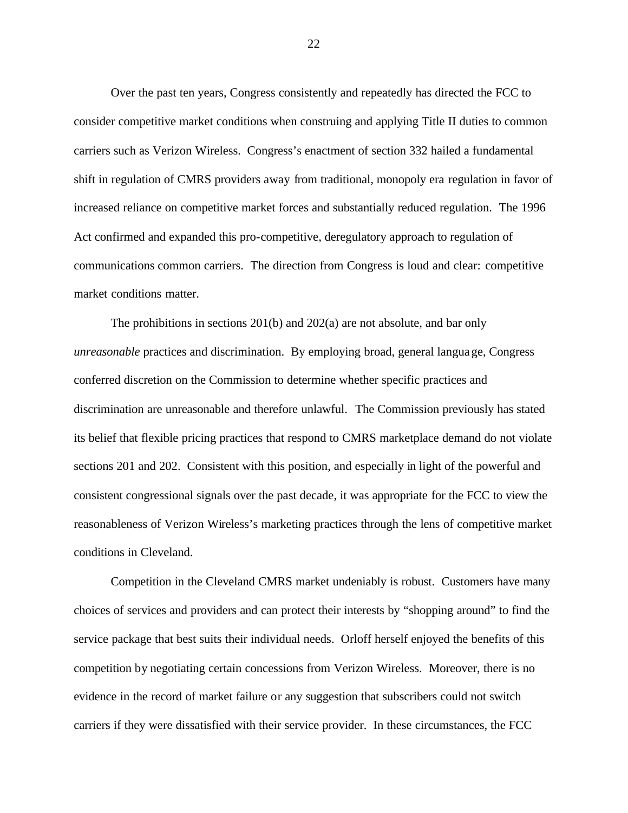Over the past ten years, Congress consistently and repeatedly has directed the FCC to consider competitive market conditions when construing and applying Title II duties to common carriers such as Verizon Wireless. Congress's enactment of section 332 hailed a fundamental shift in regulation of CMRS providers away from traditional, monopoly era regulation in favor of increased reliance on competitive market forces and substantially reduced regulation. The 1996 Act confirmed and expanded this pro-competitive, deregulatory approach to regulation of communications common carriers. The direction from Congress is loud and clear: competitive market conditions matter.

The prohibitions in sections 201(b) and 202(a) are not absolute, and bar only *unreasonable* practices and discrimination. By employing broad, general language, Congress conferred discretion on the Commission to determine whether specific practices and discrimination are unreasonable and therefore unlawful. The Commission previously has stated its belief that flexible pricing practices that respond to CMRS marketplace demand do not violate sections 201 and 202. Consistent with this position, and especially in light of the powerful and consistent congressional signals over the past decade, it was appropriate for the FCC to view the reasonableness of Verizon Wireless's marketing practices through the lens of competitive market conditions in Cleveland.

Competition in the Cleveland CMRS market undeniably is robust. Customers have many choices of services and providers and can protect their interests by "shopping around" to find the service package that best suits their individual needs. Orloff herself enjoyed the benefits of this competition by negotiating certain concessions from Verizon Wireless. Moreover, there is no evidence in the record of market failure or any suggestion that subscribers could not switch carriers if they were dissatisfied with their service provider. In these circumstances, the FCC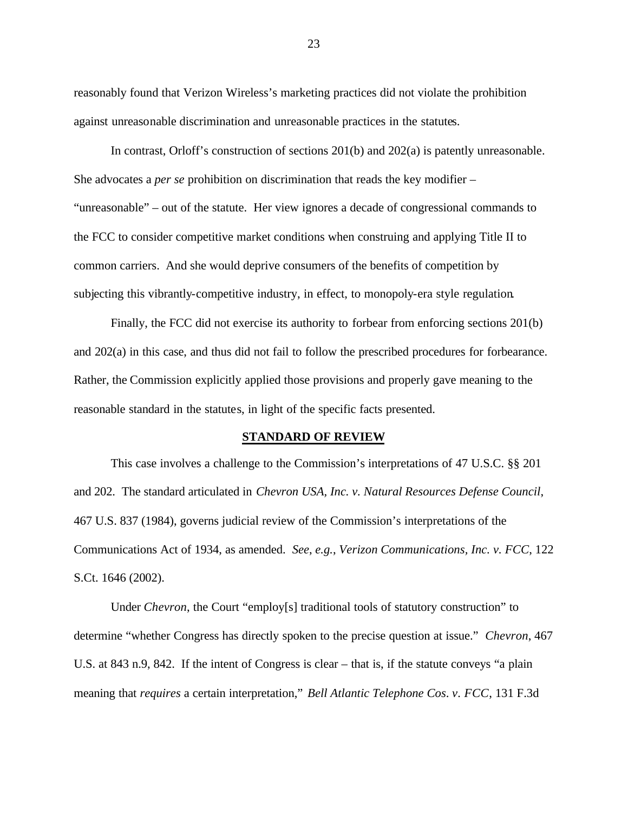reasonably found that Verizon Wireless's marketing practices did not violate the prohibition against unreasonable discrimination and unreasonable practices in the statutes.

In contrast, Orloff's construction of sections 201(b) and 202(a) is patently unreasonable. She advocates a *per se* prohibition on discrimination that reads the key modifier – "unreasonable" – out of the statute. Her view ignores a decade of congressional commands to the FCC to consider competitive market conditions when construing and applying Title II to common carriers. And she would deprive consumers of the benefits of competition by subjecting this vibrantly-competitive industry, in effect, to monopoly-era style regulation.

Finally, the FCC did not exercise its authority to forbear from enforcing sections 201(b) and 202(a) in this case, and thus did not fail to follow the prescribed procedures for forbearance. Rather, the Commission explicitly applied those provisions and properly gave meaning to the reasonable standard in the statutes, in light of the specific facts presented.

#### **STANDARD OF REVIEW**

This case involves a challenge to the Commission's interpretations of 47 U.S.C. §§ 201 and 202. The standard articulated in *Chevron USA, Inc. v. Natural Resources Defense Council*, 467 U.S. 837 (1984), governs judicial review of the Commission's interpretations of the Communications Act of 1934, as amended. *See*, *e.g.*, *Verizon Communications, Inc. v. FCC*, 122 S.Ct. 1646 (2002).

Under *Chevron*, the Court "employ[s] traditional tools of statutory construction" to determine "whether Congress has directly spoken to the precise question at issue." *Chevron*, 467 U.S. at 843 n.9, 842. If the intent of Congress is clear – that is, if the statute conveys "a plain meaning that *requires* a certain interpretation," *Bell Atlantic Telephone Cos*. *v. FCC*, 131 F.3d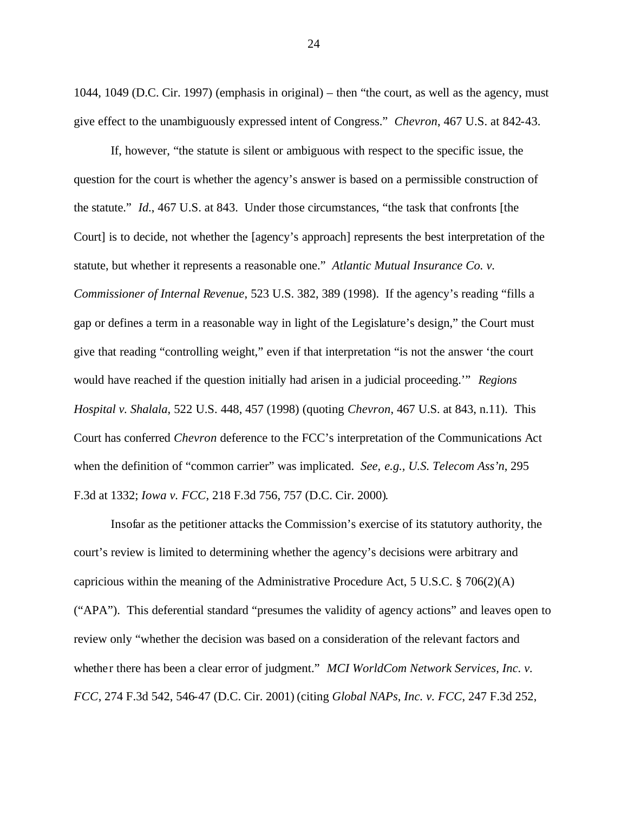1044, 1049 (D.C. Cir. 1997) (emphasis in original) – then "the court, as well as the agency, must give effect to the unambiguously expressed intent of Congress." *Chevron*, 467 U.S. at 842-43.

If, however, "the statute is silent or ambiguous with respect to the specific issue, the question for the court is whether the agency's answer is based on a permissible construction of the statute." *Id*., 467 U.S. at 843. Under those circumstances, "the task that confronts [the Court] is to decide, not whether the [agency's approach] represents the best interpretation of the statute, but whether it represents a reasonable one." *Atlantic Mutual Insurance Co. v. Commissioner of Internal Revenue*, 523 U.S. 382, 389 (1998). If the agency's reading "fills a gap or defines a term in a reasonable way in light of the Legislature's design," the Court must give that reading "controlling weight," even if that interpretation "is not the answer 'the court would have reached if the question initially had arisen in a judicial proceeding.'" *Regions Hospital v. Shalala*, 522 U.S. 448, 457 (1998) (quoting *Chevron*, 467 U.S. at 843, n.11). This Court has conferred *Chevron* deference to the FCC's interpretation of the Communications Act when the definition of "common carrier" was implicated. *See, e.g., U.S. Telecom Ass'n*, 295 F.3d at 1332; *Iowa v. FCC*, 218 F.3d 756, 757 (D.C. Cir. 2000).

Insofar as the petitioner attacks the Commission's exercise of its statutory authority, the court's review is limited to determining whether the agency's decisions were arbitrary and capricious within the meaning of the Administrative Procedure Act, 5 U.S.C. § 706(2)(A) ("APA"). This deferential standard "presumes the validity of agency actions" and leaves open to review only "whether the decision was based on a consideration of the relevant factors and whether there has been a clear error of judgment." *MCI WorldCom Network Services, Inc. v. FCC*, 274 F.3d 542, 546-47 (D.C. Cir. 2001) (citing *Global NAPs, Inc. v. FCC*, 247 F.3d 252,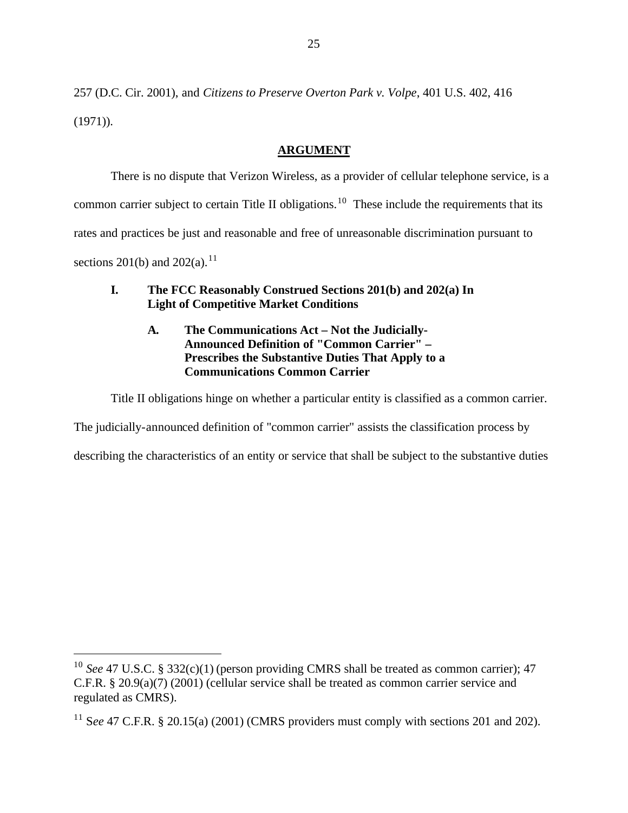257 (D.C. Cir. 2001), and *Citizens to Preserve Overton Park v. Volpe*, 401 U.S. 402, 416  $(1971)$ ).

## **ARGUMENT**

There is no dispute that Verizon Wireless, as a provider of cellular telephone service, is a common carrier subject to certain Title II obligations.<sup>10</sup> These include the requirements that its rates and practices be just and reasonable and free of unreasonable discrimination pursuant to sections 201(b) and 202(a).<sup>11</sup>

# **I. The FCC Reasonably Construed Sections 201(b) and 202(a) In Light of Competitive Market Conditions**

**A. The Communications Act – Not the Judicially-Announced Definition of "Common Carrier" – Prescribes the Substantive Duties That Apply to a Communications Common Carrier**

Title II obligations hinge on whether a particular entity is classified as a common carrier.

The judicially-announced definition of "common carrier" assists the classification process by

describing the characteristics of an entity or service that shall be subject to the substantive duties

<sup>&</sup>lt;sup>10</sup> *See* 47 U.S.C. § 332(c)(1) (person providing CMRS shall be treated as common carrier); 47 C.F.R. § 20.9(a)(7) (2001) (cellular service shall be treated as common carrier service and regulated as CMRS).

<sup>&</sup>lt;sup>11</sup> See 47 C.F.R. § 20.15(a) (2001) (CMRS providers must comply with sections 201 and 202).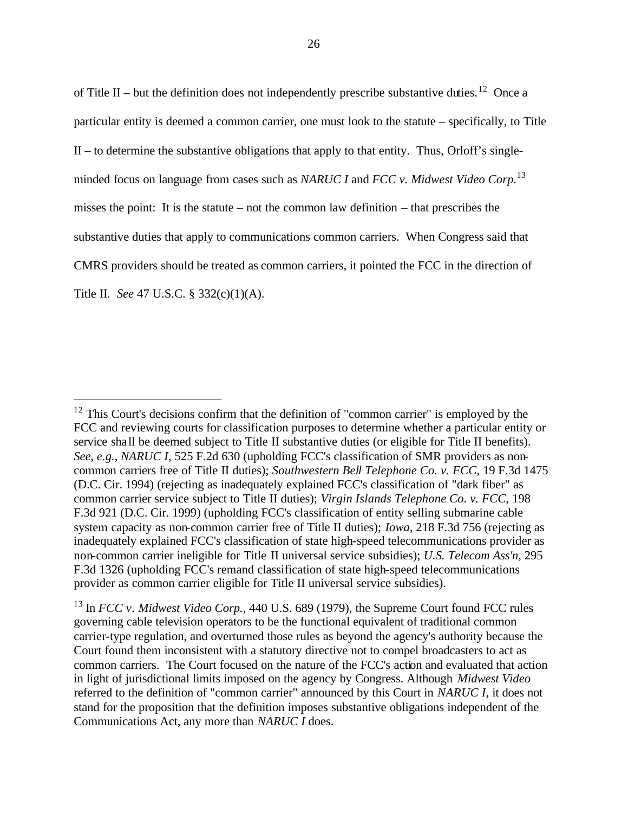of Title II – but the definition does not independently prescribe substantive duties.<sup>12</sup> Once a particular entity is deemed a common carrier, one must look to the statute – specifically, to Title  $II$  – to determine the substantive obligations that apply to that entity. Thus, Orloff's singleminded focus on language from cases such as *NARUC I* and *FCC v. Midwest Video Corp.*<sup>13</sup> misses the point: It is the statute – not the common law definition – that prescribes the substantive duties that apply to communications common carriers. When Congress said that CMRS providers should be treated as common carriers, it pointed the FCC in the direction of Title II. *See* 47 U.S.C. § 332(c)(1)(A).

 $12$  This Court's decisions confirm that the definition of "common carrier" is employed by the FCC and reviewing courts for classification purposes to determine whether a particular entity or service shall be deemed subject to Title II substantive duties (or eligible for Title II benefits). *See*, *e.g., NARUC I*, 525 F.2d 630 (upholding FCC's classification of SMR providers as noncommon carriers free of Title II duties); *Southwestern Bell Telephone Co. v. FCC*, 19 F.3d 1475 (D.C. Cir. 1994) (rejecting as inadequately explained FCC's classification of "dark fiber" as common carrier service subject to Title II duties); *Virgin Islands Telephone Co. v. FCC,* 198 F.3d 921 (D.C. Cir. 1999) (upholding FCC's classification of entity selling submarine cable system capacity as non-common carrier free of Title II duties); *Iowa*, 218 F.3d 756 (rejecting as inadequately explained FCC's classification of state high-speed telecommunications provider as non-common carrier ineligible for Title II universal service subsidies); *U.S. Telecom Ass'n*, 295 F.3d 1326 (upholding FCC's remand classification of state high-speed telecommunications provider as common carrier eligible for Title II universal service subsidies).

<sup>&</sup>lt;sup>13</sup> In *FCC v. Midwest Video Corp.*, 440 U.S. 689 (1979), the Supreme Court found FCC rules governing cable television operators to be the functional equivalent of traditional common carrier-type regulation, and overturned those rules as beyond the agency's authority because the Court found them inconsistent with a statutory directive not to compel broadcasters to act as common carriers. The Court focused on the nature of the FCC's action and evaluated that action in light of jurisdictional limits imposed on the agency by Congress. Although *Midwest Video* referred to the definition of "common carrier" announced by this Court in *NARUC I*, it does not stand for the proposition that the definition imposes substantive obligations independent of the Communications Act, any more than *NARUC I* does.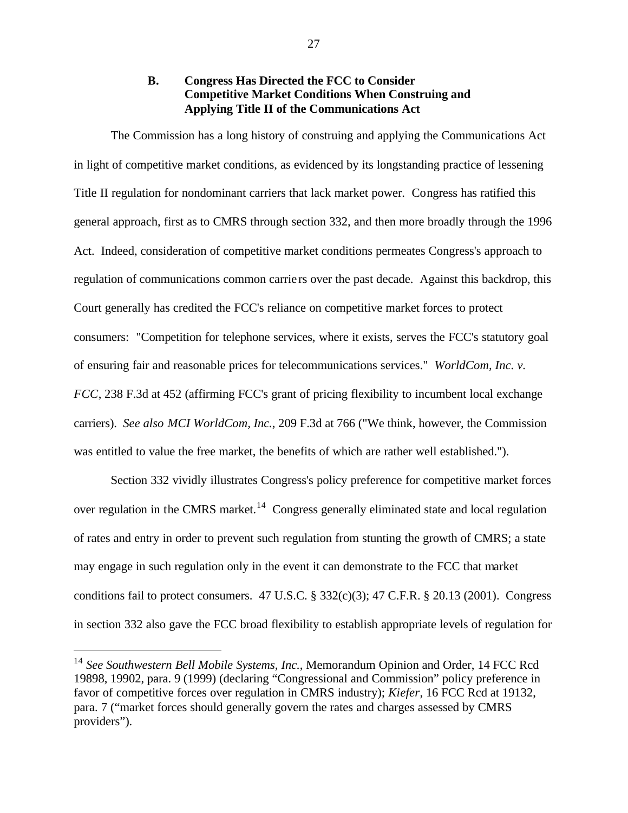## **B. Congress Has Directed the FCC to Consider Competitive Market Conditions When Construing and Applying Title II of the Communications Act**

The Commission has a long history of construing and applying the Communications Act in light of competitive market conditions, as evidenced by its longstanding practice of lessening Title II regulation for nondominant carriers that lack market power. Congress has ratified this general approach, first as to CMRS through section 332, and then more broadly through the 1996 Act. Indeed, consideration of competitive market conditions permeates Congress's approach to regulation of communications common carrie rs over the past decade. Against this backdrop, this Court generally has credited the FCC's reliance on competitive market forces to protect consumers: "Competition for telephone services, where it exists, serves the FCC's statutory goal of ensuring fair and reasonable prices for telecommunications services." *WorldCom, Inc. v. FCC*, 238 F.3d at 452 (affirming FCC's grant of pricing flexibility to incumbent local exchange carriers). *See also MCI WorldCom, Inc.*, 209 F.3d at 766 ("We think, however, the Commission was entitled to value the free market, the benefits of which are rather well established.").

Section 332 vividly illustrates Congress's policy preference for competitive market forces over regulation in the CMRS market.<sup>14</sup> Congress generally eliminated state and local regulation of rates and entry in order to prevent such regulation from stunting the growth of CMRS; a state may engage in such regulation only in the event it can demonstrate to the FCC that market conditions fail to protect consumers. 47 U.S.C. § 332(c)(3); 47 C.F.R. § 20.13 (2001). Congress in section 332 also gave the FCC broad flexibility to establish appropriate levels of regulation for

<sup>14</sup> *See Southwestern Bell Mobile Systems, Inc.*, Memorandum Opinion and Order, 14 FCC Rcd 19898, 19902, para. 9 (1999) (declaring "Congressional and Commission" policy preference in favor of competitive forces over regulation in CMRS industry); *Kiefer*, 16 FCC Rcd at 19132, para. 7 ("market forces should generally govern the rates and charges assessed by CMRS providers").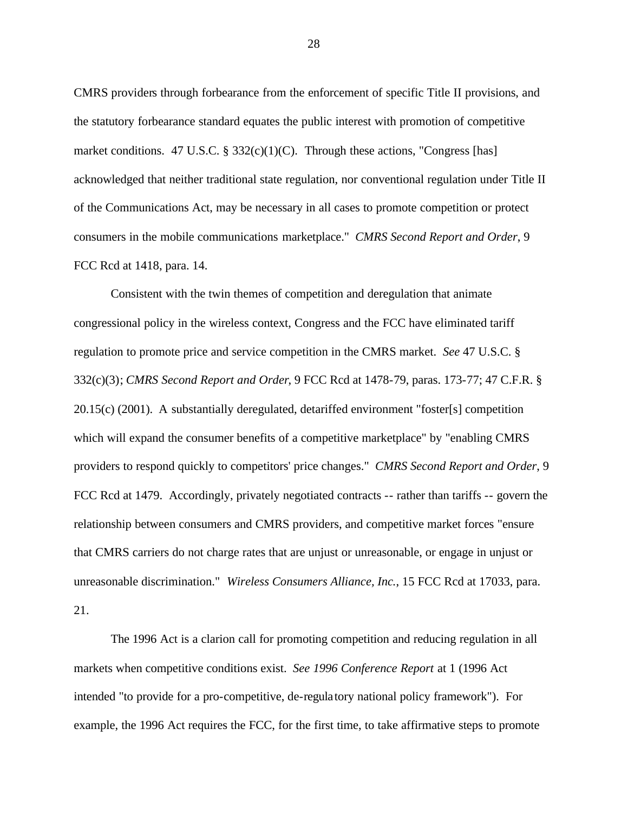CMRS providers through forbearance from the enforcement of specific Title II provisions, and the statutory forbearance standard equates the public interest with promotion of competitive market conditions. 47 U.S.C. §  $332(c)(1)(C)$ . Through these actions, "Congress [has] acknowledged that neither traditional state regulation, nor conventional regulation under Title II of the Communications Act, may be necessary in all cases to promote competition or protect consumers in the mobile communications marketplace." *CMRS Second Report and Order*, 9 FCC Rcd at 1418, para. 14.

Consistent with the twin themes of competition and deregulation that animate congressional policy in the wireless context, Congress and the FCC have eliminated tariff regulation to promote price and service competition in the CMRS market. *See* 47 U.S.C. § 332(c)(3); *CMRS Second Report and Order*, 9 FCC Rcd at 1478-79, paras. 173-77; 47 C.F.R. § 20.15(c) (2001). A substantially deregulated, detariffed environment "foster[s] competition which will expand the consumer benefits of a competitive marketplace" by "enabling CMRS" providers to respond quickly to competitors' price changes." *CMRS Second Report and Order*, 9 FCC Rcd at 1479. Accordingly, privately negotiated contracts -- rather than tariffs -- govern the relationship between consumers and CMRS providers, and competitive market forces "ensure that CMRS carriers do not charge rates that are unjust or unreasonable, or engage in unjust or unreasonable discrimination." *Wireless Consumers Alliance, Inc.*, 15 FCC Rcd at 17033, para. 21.

The 1996 Act is a clarion call for promoting competition and reducing regulation in all markets when competitive conditions exist. *See 1996 Conference Report* at 1 (1996 Act intended "to provide for a pro-competitive, de-regulatory national policy framework"). For example, the 1996 Act requires the FCC, for the first time, to take affirmative steps to promote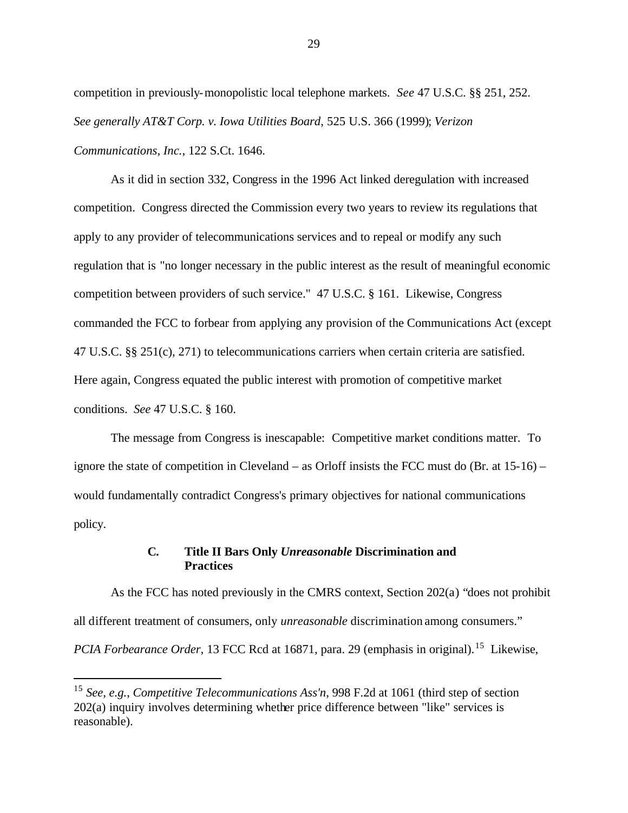competition in previously-monopolistic local telephone markets. *See* 47 U.S.C. §§ 251, 252. *See generally AT&T Corp. v. Iowa Utilities Board*, 525 U.S. 366 (1999); *Verizon Communications, Inc.*, 122 S.Ct. 1646.

As it did in section 332, Congress in the 1996 Act linked deregulation with increased competition. Congress directed the Commission every two years to review its regulations that apply to any provider of telecommunications services and to repeal or modify any such regulation that is "no longer necessary in the public interest as the result of meaningful economic competition between providers of such service." 47 U.S.C. § 161. Likewise, Congress commanded the FCC to forbear from applying any provision of the Communications Act (except 47 U.S.C. §§ 251(c), 271) to telecommunications carriers when certain criteria are satisfied. Here again, Congress equated the public interest with promotion of competitive market conditions. *See* 47 U.S.C. § 160.

The message from Congress is inescapable: Competitive market conditions matter. To ignore the state of competition in Cleveland – as Orloff insists the FCC must do (Br. at 15-16) – would fundamentally contradict Congress's primary objectives for national communications policy.

### **C. Title II Bars Only** *Unreasonable* **Discrimination and Practices**

As the FCC has noted previously in the CMRS context, Section 202(a) "does not prohibit all different treatment of consumers, only *unreasonable* discrimination among consumers." PCIA Forbearance Order, 13 FCC Rcd at 16871, para. 29 (emphasis in original).<sup>15</sup> Likewise,

<sup>15</sup> *See*, *e.g.*, *Competitive Telecommunications Ass'n*, 998 F.2d at 1061 (third step of section 202(a) inquiry involves determining whether price difference between "like" services is reasonable).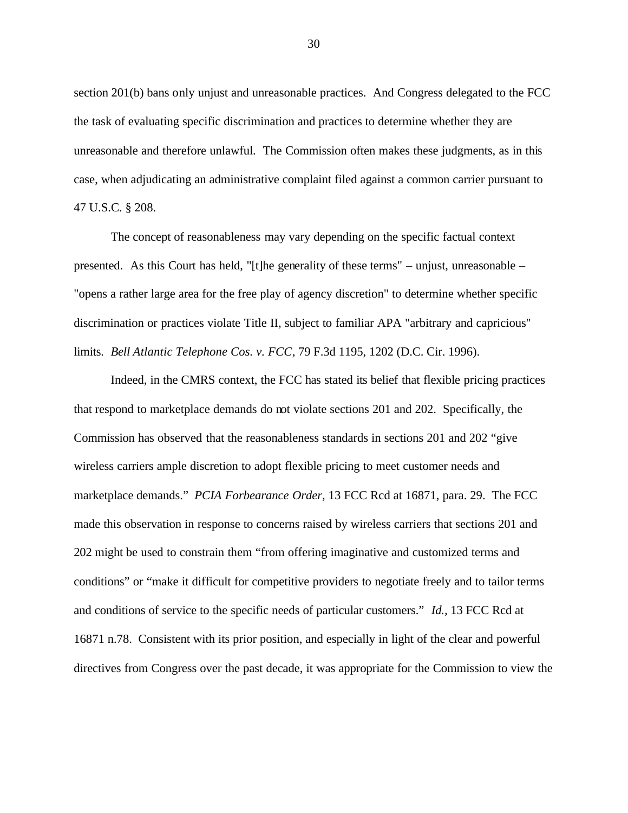section 201(b) bans only unjust and unreasonable practices. And Congress delegated to the FCC the task of evaluating specific discrimination and practices to determine whether they are unreasonable and therefore unlawful. The Commission often makes these judgments, as in this case, when adjudicating an administrative complaint filed against a common carrier pursuant to 47 U.S.C. § 208.

The concept of reasonableness may vary depending on the specific factual context presented. As this Court has held, "[t]he generality of these terms" – unjust, unreasonable – "opens a rather large area for the free play of agency discretion" to determine whether specific discrimination or practices violate Title II, subject to familiar APA "arbitrary and capricious" limits. *Bell Atlantic Telephone Cos. v. FCC*, 79 F.3d 1195, 1202 (D.C. Cir. 1996).

Indeed, in the CMRS context, the FCC has stated its belief that flexible pricing practices that respond to marketplace demands do not violate sections 201 and 202. Specifically, the Commission has observed that the reasonableness standards in sections 201 and 202 "give wireless carriers ample discretion to adopt flexible pricing to meet customer needs and marketplace demands." *PCIA Forbearance Order*, 13 FCC Rcd at 16871, para. 29. The FCC made this observation in response to concerns raised by wireless carriers that sections 201 and 202 might be used to constrain them "from offering imaginative and customized terms and conditions" or "make it difficult for competitive providers to negotiate freely and to tailor terms and conditions of service to the specific needs of particular customers." *Id.,* 13 FCC Rcd at 16871 n.78. Consistent with its prior position, and especially in light of the clear and powerful directives from Congress over the past decade, it was appropriate for the Commission to view the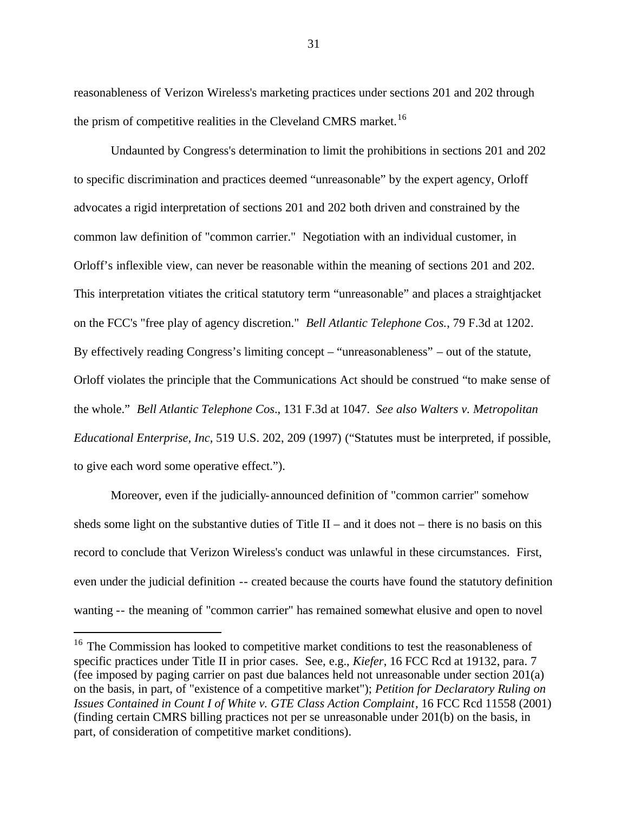reasonableness of Verizon Wireless's marketing practices under sections 201 and 202 through the prism of competitive realities in the Cleveland CMRS market.<sup>16</sup>

Undaunted by Congress's determination to limit the prohibitions in sections 201 and 202 to specific discrimination and practices deemed "unreasonable" by the expert agency, Orloff advocates a rigid interpretation of sections 201 and 202 both driven and constrained by the common law definition of "common carrier." Negotiation with an individual customer, in Orloff's inflexible view, can never be reasonable within the meaning of sections 201 and 202. This interpretation vitiates the critical statutory term "unreasonable" and places a straightjacket on the FCC's "free play of agency discretion." *Bell Atlantic Telephone Cos.*, 79 F.3d at 1202. By effectively reading Congress's limiting concept – "unreasonableness" – out of the statute, Orloff violates the principle that the Communications Act should be construed "to make sense of the whole." *Bell Atlantic Telephone Cos*., 131 F.3d at 1047. *See also Walters v. Metropolitan Educational Enterprise, Inc,* 519 U.S. 202, 209 (1997) ("Statutes must be interpreted, if possible, to give each word some operative effect.").

Moreover, even if the judicially-announced definition of "common carrier" somehow sheds some light on the substantive duties of Title  $II$  – and it does not – there is no basis on this record to conclude that Verizon Wireless's conduct was unlawful in these circumstances. First, even under the judicial definition -- created because the courts have found the statutory definition wanting -- the meaning of "common carrier" has remained somewhat elusive and open to novel

<sup>&</sup>lt;sup>16</sup> The Commission has looked to competitive market conditions to test the reasonableness of specific practices under Title II in prior cases. See, e.g., *Kiefer*, 16 FCC Rcd at 19132, para. 7 (fee imposed by paging carrier on past due balances held not unreasonable under section 201(a) on the basis, in part, of "existence of a competitive market"); *Petition for Declaratory Ruling on Issues Contained in Count I of White v. GTE Class Action Complaint*, 16 FCC Rcd 11558 (2001) (finding certain CMRS billing practices not per se unreasonable under 201(b) on the basis, in part, of consideration of competitive market conditions).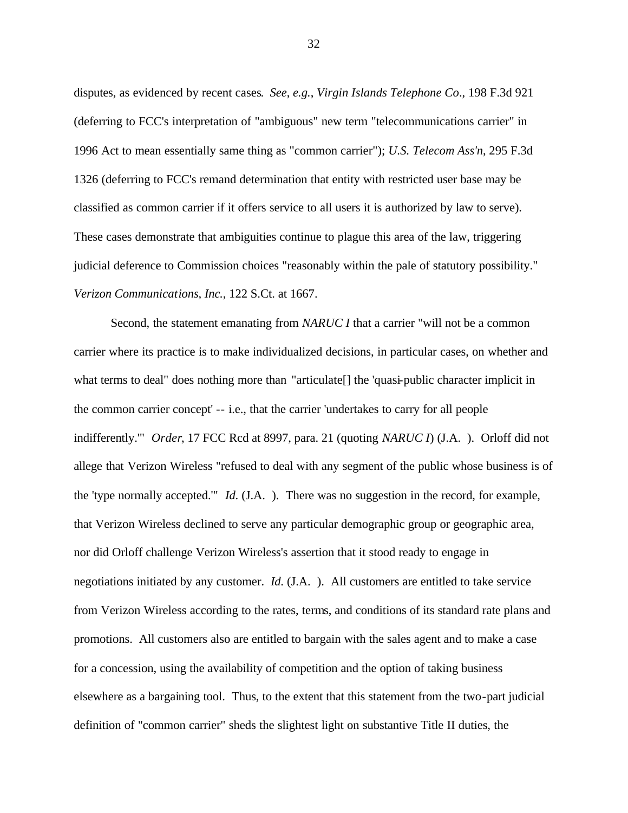disputes, as evidenced by recent cases. *See*, *e.g.*, *Virgin Islands Telephone Co*., 198 F.3d 921 (deferring to FCC's interpretation of "ambiguous" new term "telecommunications carrier" in 1996 Act to mean essentially same thing as "common carrier"); *U.S. Telecom Ass'n*, 295 F.3d 1326 (deferring to FCC's remand determination that entity with restricted user base may be classified as common carrier if it offers service to all users it is authorized by law to serve). These cases demonstrate that ambiguities continue to plague this area of the law, triggering judicial deference to Commission choices "reasonably within the pale of statutory possibility." *Verizon Communications, Inc.*, 122 S.Ct. at 1667.

Second, the statement emanating from *NARUC I* that a carrier "will not be a common carrier where its practice is to make individualized decisions, in particular cases, on whether and what terms to deal" does nothing more than "articulate<sup>[]</sup> the 'quasi-public character implicit in the common carrier concept' -- i.e., that the carrier 'undertakes to carry for all people indifferently.'" *Order*, 17 FCC Rcd at 8997, para. 21 (quoting *NARUC I*) (J.A. ). Orloff did not allege that Verizon Wireless "refused to deal with any segment of the public whose business is of the 'type normally accepted.'" *Id*. (J.A. ). There was no suggestion in the record, for example, that Verizon Wireless declined to serve any particular demographic group or geographic area, nor did Orloff challenge Verizon Wireless's assertion that it stood ready to engage in negotiations initiated by any customer. *Id*. (J.A. ). All customers are entitled to take service from Verizon Wireless according to the rates, terms, and conditions of its standard rate plans and promotions. All customers also are entitled to bargain with the sales agent and to make a case for a concession, using the availability of competition and the option of taking business elsewhere as a bargaining tool. Thus, to the extent that this statement from the two-part judicial definition of "common carrier" sheds the slightest light on substantive Title II duties, the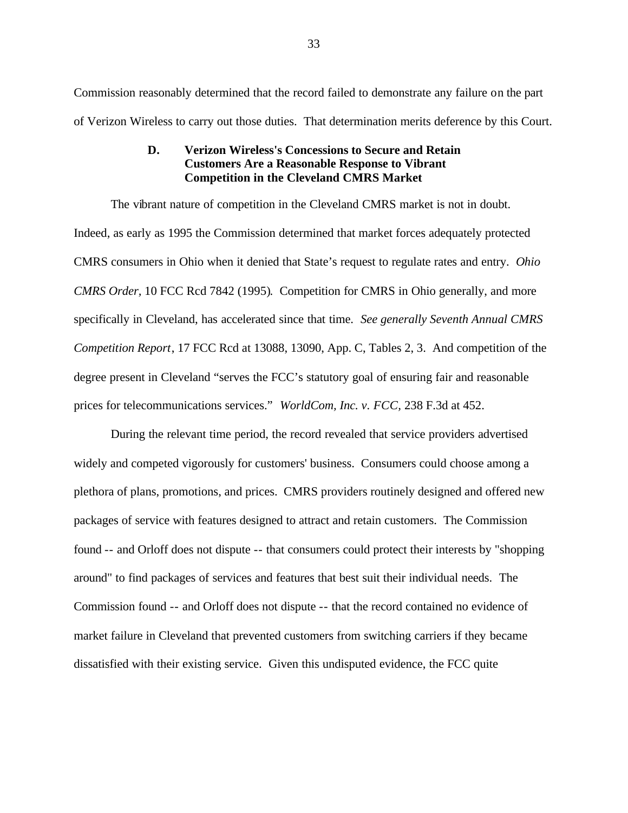Commission reasonably determined that the record failed to demonstrate any failure on the part of Verizon Wireless to carry out those duties. That determination merits deference by this Court.

## **D. Verizon Wireless's Concessions to Secure and Retain Customers Are a Reasonable Response to Vibrant Competition in the Cleveland CMRS Market**

The vibrant nature of competition in the Cleveland CMRS market is not in doubt. Indeed, as early as 1995 the Commission determined that market forces adequately protected CMRS consumers in Ohio when it denied that State's request to regulate rates and entry. *Ohio CMRS Order,* 10 FCC Rcd 7842 (1995). Competition for CMRS in Ohio generally, and more specifically in Cleveland, has accelerated since that time. *See generally Seventh Annual CMRS Competition Report*, 17 FCC Rcd at 13088, 13090, App. C, Tables 2, 3. And competition of the degree present in Cleveland "serves the FCC's statutory goal of ensuring fair and reasonable prices for telecommunications services." *WorldCom, Inc. v. FCC,* 238 F.3d at 452.

During the relevant time period, the record revealed that service providers advertised widely and competed vigorously for customers' business. Consumers could choose among a plethora of plans, promotions, and prices. CMRS providers routinely designed and offered new packages of service with features designed to attract and retain customers. The Commission found -- and Orloff does not dispute -- that consumers could protect their interests by "shopping around" to find packages of services and features that best suit their individual needs. The Commission found -- and Orloff does not dispute -- that the record contained no evidence of market failure in Cleveland that prevented customers from switching carriers if they became dissatisfied with their existing service. Given this undisputed evidence, the FCC quite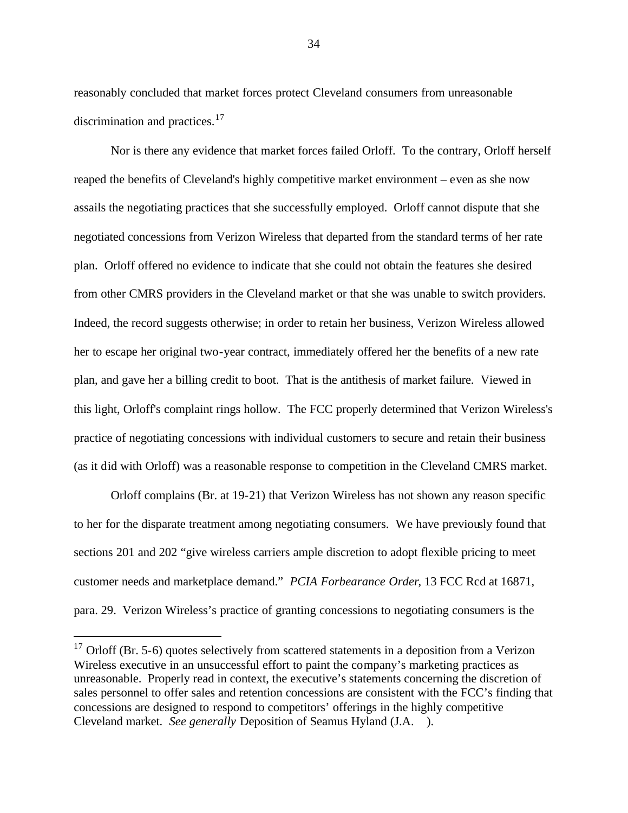reasonably concluded that market forces protect Cleveland consumers from unreasonable discrimination and practices.<sup>17</sup>

Nor is there any evidence that market forces failed Orloff. To the contrary, Orloff herself reaped the benefits of Cleveland's highly competitive market environment – even as she now assails the negotiating practices that she successfully employed. Orloff cannot dispute that she negotiated concessions from Verizon Wireless that departed from the standard terms of her rate plan. Orloff offered no evidence to indicate that she could not obtain the features she desired from other CMRS providers in the Cleveland market or that she was unable to switch providers. Indeed, the record suggests otherwise; in order to retain her business, Verizon Wireless allowed her to escape her original two-year contract, immediately offered her the benefits of a new rate plan, and gave her a billing credit to boot. That is the antithesis of market failure. Viewed in this light, Orloff's complaint rings hollow. The FCC properly determined that Verizon Wireless's practice of negotiating concessions with individual customers to secure and retain their business (as it did with Orloff) was a reasonable response to competition in the Cleveland CMRS market.

Orloff complains (Br. at 19-21) that Verizon Wireless has not shown any reason specific to her for the disparate treatment among negotiating consumers. We have previously found that sections 201 and 202 "give wireless carriers ample discretion to adopt flexible pricing to meet customer needs and marketplace demand." *PCIA Forbearance Order*, 13 FCC Rcd at 16871, para. 29. Verizon Wireless's practice of granting concessions to negotiating consumers is the

l

 $17$  Orloff (Br. 5-6) quotes selectively from scattered statements in a deposition from a Verizon Wireless executive in an unsuccessful effort to paint the company's marketing practices as unreasonable. Properly read in context, the executive's statements concerning the discretion of sales personnel to offer sales and retention concessions are consistent with the FCC's finding that concessions are designed to respond to competitors' offerings in the highly competitive Cleveland market. *See generally* Deposition of Seamus Hyland (J.A. ).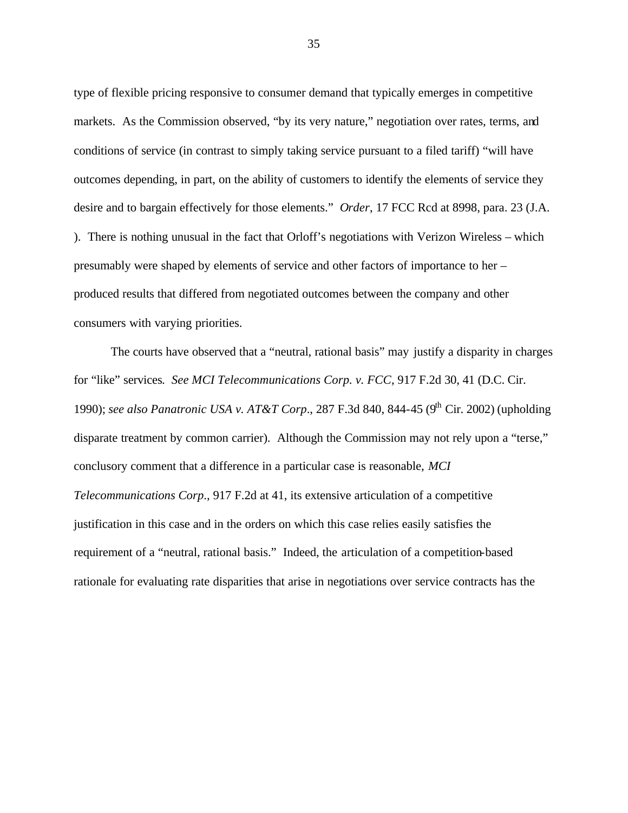type of flexible pricing responsive to consumer demand that typically emerges in competitive markets. As the Commission observed, "by its very nature," negotiation over rates, terms, and conditions of service (in contrast to simply taking service pursuant to a filed tariff) "will have outcomes depending, in part, on the ability of customers to identify the elements of service they desire and to bargain effectively for those elements." *Order*, 17 FCC Rcd at 8998, para. 23 (J.A. ). There is nothing unusual in the fact that Orloff's negotiations with Verizon Wireless – which presumably were shaped by elements of service and other factors of importance to her – produced results that differed from negotiated outcomes between the company and other consumers with varying priorities.

The courts have observed that a "neutral, rational basis" may justify a disparity in charges for "like" services*. See MCI Telecommunications Corp. v. FCC*, 917 F.2d 30, 41 (D.C. Cir. 1990); *see also Panatronic USA v. AT&T Corp.*, 287 F.3d 840, 844-45 (9<sup>th</sup> Cir. 2002) (upholding disparate treatment by common carrier). Although the Commission may not rely upon a "terse," conclusory comment that a difference in a particular case is reasonable, *MCI Telecommunications Corp*., 917 F.2d at 41, its extensive articulation of a competitive justification in this case and in the orders on which this case relies easily satisfies the requirement of a "neutral, rational basis." Indeed, the articulation of a competition-based rationale for evaluating rate disparities that arise in negotiations over service contracts has the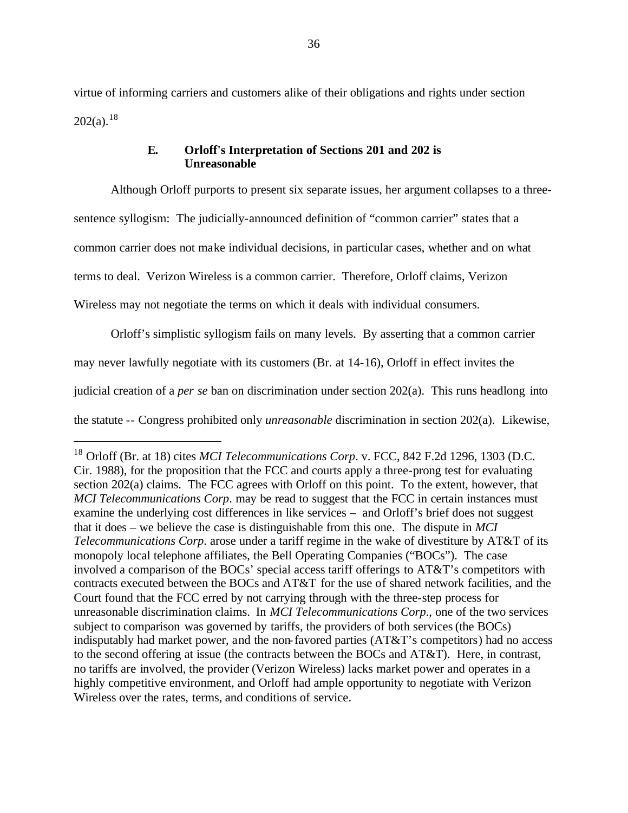virtue of informing carriers and customers alike of their obligations and rights under section  $202(a).^{18}$ 

## **E. Orloff's Interpretation of Sections 201 and 202 is Unreasonable**

Although Orloff purports to present six separate issues, her argument collapses to a threesentence syllogism: The judicially-announced definition of "common carrier" states that a common carrier does not make individual decisions, in particular cases, whether and on what terms to deal. Verizon Wireless is a common carrier. Therefore, Orloff claims, Verizon Wireless may not negotiate the terms on which it deals with individual consumers.

Orloff's simplistic syllogism fails on many levels. By asserting that a common carrier may never lawfully negotiate with its customers (Br. at 14-16), Orloff in effect invites the judicial creation of a *per se* ban on discrimination under section 202(a). This runs headlong into the statute -- Congress prohibited only *unreasonable* discrimination in section 202(a). Likewise,

<sup>&</sup>lt;sup>18</sup> Orloff (Br. at 18) cites *MCI Telecommunications Corp.* v. FCC, 842 F.2d 1296, 1303 (D.C. Cir. 1988), for the proposition that the FCC and courts apply a three-prong test for evaluating section 202(a) claims. The FCC agrees with Orloff on this point. To the extent, however, that *MCI Telecommunications Corp*. may be read to suggest that the FCC in certain instances must examine the underlying cost differences in like services – and Orloff's brief does not suggest that it does – we believe the case is distinguishable from this one. The dispute in *MCI Telecommunications Corp*. arose under a tariff regime in the wake of divestiture by AT&T of its monopoly local telephone affiliates, the Bell Operating Companies ("BOCs"). The case involved a comparison of the BOCs' special access tariff offerings to AT&T's competitors with contracts executed between the BOCs and AT&T for the use of shared network facilities, and the Court found that the FCC erred by not carrying through with the three-step process for unreasonable discrimination claims. In *MCI Telecommunications Corp*., one of the two services subject to comparison was governed by tariffs, the providers of both services (the BOCs) indisputably had market power, and the non-favored parties (AT&T's competitors) had no access to the second offering at issue (the contracts between the BOCs and AT&T). Here, in contrast, no tariffs are involved, the provider (Verizon Wireless) lacks market power and operates in a highly competitive environment, and Orloff had ample opportunity to negotiate with Verizon Wireless over the rates, terms, and conditions of service.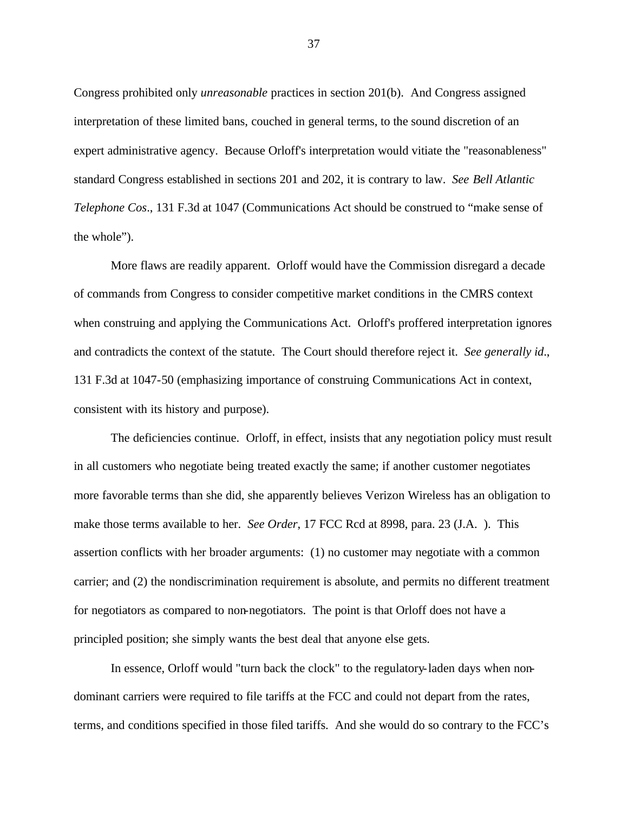Congress prohibited only *unreasonable* practices in section 201(b). And Congress assigned interpretation of these limited bans, couched in general terms, to the sound discretion of an expert administrative agency. Because Orloff's interpretation would vitiate the "reasonableness" standard Congress established in sections 201 and 202, it is contrary to law. *See Bell Atlantic Telephone Cos*., 131 F.3d at 1047 (Communications Act should be construed to "make sense of the whole").

More flaws are readily apparent. Orloff would have the Commission disregard a decade of commands from Congress to consider competitive market conditions in the CMRS context when construing and applying the Communications Act. Orloff's proffered interpretation ignores and contradicts the context of the statute. The Court should therefore reject it. *See generally id*., 131 F.3d at 1047-50 (emphasizing importance of construing Communications Act in context, consistent with its history and purpose).

The deficiencies continue. Orloff, in effect, insists that any negotiation policy must result in all customers who negotiate being treated exactly the same; if another customer negotiates more favorable terms than she did, she apparently believes Verizon Wireless has an obligation to make those terms available to her. *See Order*, 17 FCC Rcd at 8998, para. 23 (J.A. ). This assertion conflicts with her broader arguments: (1) no customer may negotiate with a common carrier; and (2) the nondiscrimination requirement is absolute, and permits no different treatment for negotiators as compared to non-negotiators. The point is that Orloff does not have a principled position; she simply wants the best deal that anyone else gets.

In essence, Orloff would "turn back the clock" to the regulatory-laden days when nondominant carriers were required to file tariffs at the FCC and could not depart from the rates, terms, and conditions specified in those filed tariffs. And she would do so contrary to the FCC's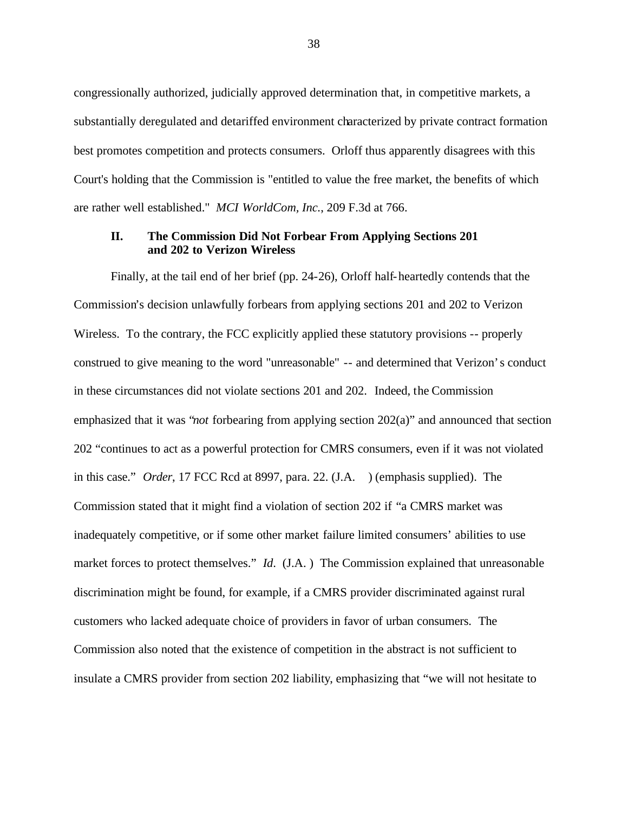congressionally authorized, judicially approved determination that, in competitive markets, a substantially deregulated and detariffed environment characterized by private contract formation best promotes competition and protects consumers. Orloff thus apparently disagrees with this Court's holding that the Commission is "entitled to value the free market, the benefits of which are rather well established." *MCI WorldCom, Inc.*, 209 F.3d at 766.

#### **II. The Commission Did Not Forbear From Applying Sections 201 and 202 to Verizon Wireless**

Finally, at the tail end of her brief (pp. 24-26), Orloff half-heartedly contends that the Commission's decision unlawfully forbears from applying sections 201 and 202 to Verizon Wireless. To the contrary, the FCC explicitly applied these statutory provisions -- properly construed to give meaning to the word "unreasonable" -- and determined that Verizon's conduct in these circumstances did not violate sections 201 and 202. Indeed, the Commission emphasized that it was "*not* forbearing from applying section 202(a)" and announced that section 202 "continues to act as a powerful protection for CMRS consumers, even if it was not violated in this case." *Order*, 17 FCC Rcd at 8997, para. 22. (J.A. ) (emphasis supplied). The Commission stated that it might find a violation of section 202 if "a CMRS market was inadequately competitive, or if some other market failure limited consumers' abilities to use market forces to protect themselves." *Id.* (J.A.) The Commission explained that unreasonable discrimination might be found, for example, if a CMRS provider discriminated against rural customers who lacked adequate choice of providers in favor of urban consumers. The Commission also noted that the existence of competition in the abstract is not sufficient to insulate a CMRS provider from section 202 liability, emphasizing that "we will not hesitate to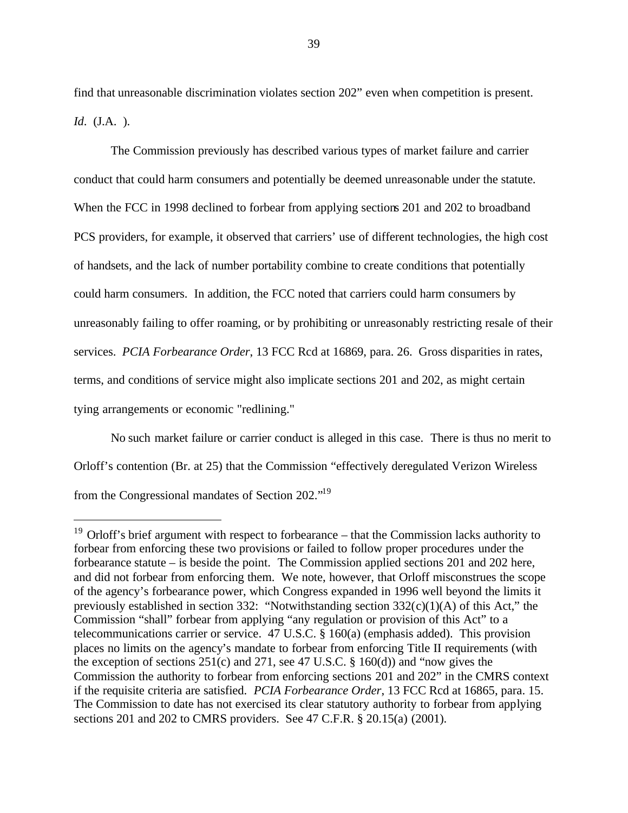find that unreasonable discrimination violates section 202" even when competition is present. *Id*. (J.A. ).

The Commission previously has described various types of market failure and carrier conduct that could harm consumers and potentially be deemed unreasonable under the statute. When the FCC in 1998 declined to forbear from applying sections 201 and 202 to broadband PCS providers, for example, it observed that carriers' use of different technologies, the high cost of handsets, and the lack of number portability combine to create conditions that potentially could harm consumers. In addition, the FCC noted that carriers could harm consumers by unreasonably failing to offer roaming, or by prohibiting or unreasonably restricting resale of their services. *PCIA Forbearance Order*, 13 FCC Rcd at 16869, para. 26. Gross disparities in rates, terms, and conditions of service might also implicate sections 201 and 202, as might certain tying arrangements or economic "redlining."

No such market failure or carrier conduct is alleged in this case. There is thus no merit to Orloff's contention (Br. at 25) that the Commission "effectively deregulated Verizon Wireless from the Congressional mandates of Section 202."<sup>19</sup>

 $19$  Orloff's brief argument with respect to forbearance – that the Commission lacks authority to forbear from enforcing these two provisions or failed to follow proper procedures under the forbearance statute – is beside the point. The Commission applied sections 201 and 202 here, and did not forbear from enforcing them. We note, however, that Orloff misconstrues the scope of the agency's forbearance power, which Congress expanded in 1996 well beyond the limits it previously established in section 332: "Notwithstanding section  $332(c)(1)(A)$  of this Act," the Commission "shall" forbear from applying "any regulation or provision of this Act" to a telecommunications carrier or service. 47 U.S.C. § 160(a) (emphasis added). This provision places no limits on the agency's mandate to forbear from enforcing Title II requirements (with the exception of sections  $251(c)$  and  $271$ , see 47 U.S.C. § 160(d)) and "now gives the Commission the authority to forbear from enforcing sections 201 and 202" in the CMRS context if the requisite criteria are satisfied. *PCIA Forbearance Order*, 13 FCC Rcd at 16865, para. 15. The Commission to date has not exercised its clear statutory authority to forbear from applying sections 201 and 202 to CMRS providers. See 47 C.F.R. § 20.15(a) (2001).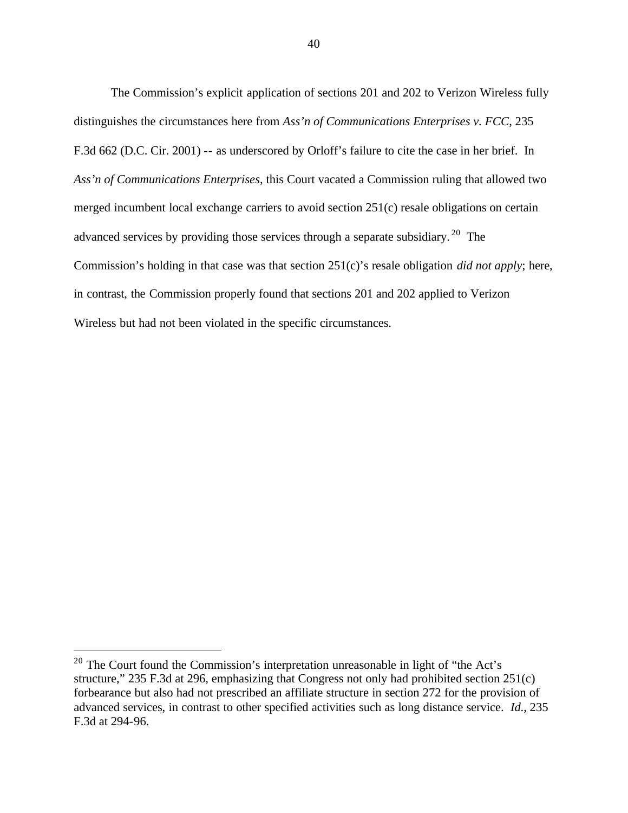The Commission's explicit application of sections 201 and 202 to Verizon Wireless fully distinguishes the circumstances here from *Ass'n of Communications Enterprises v. FCC*, 235 F.3d 662 (D.C. Cir. 2001) -- as underscored by Orloff's failure to cite the case in her brief. In *Ass'n of Communications Enterprises*, this Court vacated a Commission ruling that allowed two merged incumbent local exchange carriers to avoid section 251(c) resale obligations on certain advanced services by providing those services through a separate subsidiary.<sup>20</sup> The Commission's holding in that case was that section 251(c)'s resale obligation *did not apply*; here, in contrast, the Commission properly found that sections 201 and 202 applied to Verizon Wireless but had not been violated in the specific circumstances.

<sup>&</sup>lt;sup>20</sup> The Court found the Commission's interpretation unreasonable in light of "the Act's structure," 235 F.3d at 296, emphasizing that Congress not only had prohibited section 251(c) forbearance but also had not prescribed an affiliate structure in section 272 for the provision of advanced services, in contrast to other specified activities such as long distance service. *Id*., 235 F.3d at 294-96.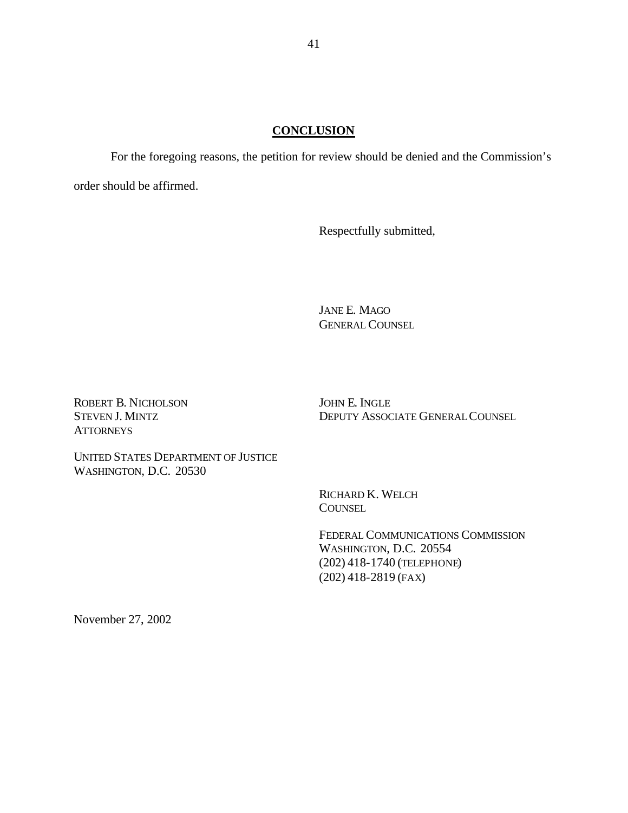#### **CONCLUSION**

For the foregoing reasons, the petition for review should be denied and the Commission's order should be affirmed.

Respectfully submitted,

JANE E. MAGO GENERAL COUNSEL

ROBERT B. NICHOLSON STEVEN J. MINTZ **ATTORNEYS** 

JOHN E. INGLE DEPUTY ASSOCIATE GENERAL COUNSEL

UNITED STATES DEPARTMENT OF JUSTICE WASHINGTON, D.C. 20530

> RICHARD K. WELCH **COUNSEL**

FEDERAL COMMUNICATIONS COMMISSION WASHINGTON, D.C. 20554 (202) 418-1740 (TELEPHONE) (202) 418-2819 (FAX)

November 27, 2002